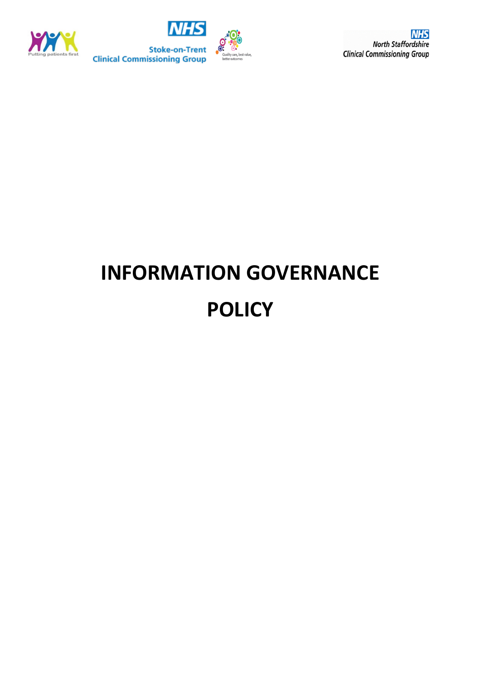



**NHS North Staffordshire Clinical Commissioning Group** 

# **INFORMATION GOVERNANCE POLICY**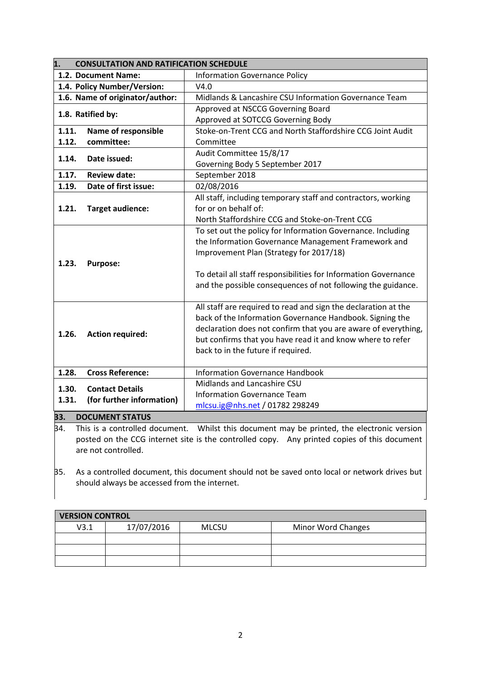| 1.2. Document Name:<br><b>Information Governance Policy</b><br>1.4. Policy Number/Version:<br>V4.0<br>1.6. Name of originator/author:<br>Midlands & Lancashire CSU Information Governance Team<br>Approved at NSCCG Governing Board<br>1.8. Ratified by:<br>Approved at SOTCCG Governing Body<br>Stoke-on-Trent CCG and North Staffordshire CCG Joint Audit<br>1.11.<br>Name of responsible<br>committee:<br>Committee<br>1.12.<br>Audit Committee 15/8/17<br>1.14.<br>Date issued:<br>Governing Body 5 September 2017<br>1.17.<br><b>Review date:</b><br>September 2018<br>Date of first issue:<br>02/08/2016<br>1.19.<br>All staff, including temporary staff and contractors, working<br>for or on behalf of:<br>1.21.<br><b>Target audience:</b><br>North Staffordshire CCG and Stoke-on-Trent CCG<br>To set out the policy for Information Governance. Including<br>the Information Governance Management Framework and<br>Improvement Plan (Strategy for 2017/18)<br>1.23.<br><b>Purpose:</b><br>To detail all staff responsibilities for Information Governance<br>and the possible consequences of not following the guidance.<br>All staff are required to read and sign the declaration at the<br>back of the Information Governance Handbook. Signing the<br>declaration does not confirm that you are aware of everything,<br>1.26.<br><b>Action required:</b><br>but confirms that you have read it and know where to refer<br>back to in the future if required.<br><b>Cross Reference:</b><br>1.28.<br><b>Information Governance Handbook</b><br>Midlands and Lancashire CSU<br><b>Contact Details</b><br>1.30.<br><b>Information Governance Team</b><br>1.31.<br>(for further information)<br>mlcsu.ig@nhs.net / 01782 298249<br><b>DOCUMENT STATUS</b> | 1.  |  | <b>CONSULTATION AND RATIFICATION SCHEDULE</b> |
|-------------------------------------------------------------------------------------------------------------------------------------------------------------------------------------------------------------------------------------------------------------------------------------------------------------------------------------------------------------------------------------------------------------------------------------------------------------------------------------------------------------------------------------------------------------------------------------------------------------------------------------------------------------------------------------------------------------------------------------------------------------------------------------------------------------------------------------------------------------------------------------------------------------------------------------------------------------------------------------------------------------------------------------------------------------------------------------------------------------------------------------------------------------------------------------------------------------------------------------------------------------------------------------------------------------------------------------------------------------------------------------------------------------------------------------------------------------------------------------------------------------------------------------------------------------------------------------------------------------------------------------------------------------------------------------------------------------------------------------------------------------------------|-----|--|-----------------------------------------------|
|                                                                                                                                                                                                                                                                                                                                                                                                                                                                                                                                                                                                                                                                                                                                                                                                                                                                                                                                                                                                                                                                                                                                                                                                                                                                                                                                                                                                                                                                                                                                                                                                                                                                                                                                                                         |     |  |                                               |
|                                                                                                                                                                                                                                                                                                                                                                                                                                                                                                                                                                                                                                                                                                                                                                                                                                                                                                                                                                                                                                                                                                                                                                                                                                                                                                                                                                                                                                                                                                                                                                                                                                                                                                                                                                         |     |  |                                               |
|                                                                                                                                                                                                                                                                                                                                                                                                                                                                                                                                                                                                                                                                                                                                                                                                                                                                                                                                                                                                                                                                                                                                                                                                                                                                                                                                                                                                                                                                                                                                                                                                                                                                                                                                                                         |     |  |                                               |
|                                                                                                                                                                                                                                                                                                                                                                                                                                                                                                                                                                                                                                                                                                                                                                                                                                                                                                                                                                                                                                                                                                                                                                                                                                                                                                                                                                                                                                                                                                                                                                                                                                                                                                                                                                         |     |  |                                               |
|                                                                                                                                                                                                                                                                                                                                                                                                                                                                                                                                                                                                                                                                                                                                                                                                                                                                                                                                                                                                                                                                                                                                                                                                                                                                                                                                                                                                                                                                                                                                                                                                                                                                                                                                                                         |     |  |                                               |
|                                                                                                                                                                                                                                                                                                                                                                                                                                                                                                                                                                                                                                                                                                                                                                                                                                                                                                                                                                                                                                                                                                                                                                                                                                                                                                                                                                                                                                                                                                                                                                                                                                                                                                                                                                         |     |  |                                               |
|                                                                                                                                                                                                                                                                                                                                                                                                                                                                                                                                                                                                                                                                                                                                                                                                                                                                                                                                                                                                                                                                                                                                                                                                                                                                                                                                                                                                                                                                                                                                                                                                                                                                                                                                                                         |     |  |                                               |
|                                                                                                                                                                                                                                                                                                                                                                                                                                                                                                                                                                                                                                                                                                                                                                                                                                                                                                                                                                                                                                                                                                                                                                                                                                                                                                                                                                                                                                                                                                                                                                                                                                                                                                                                                                         |     |  |                                               |
|                                                                                                                                                                                                                                                                                                                                                                                                                                                                                                                                                                                                                                                                                                                                                                                                                                                                                                                                                                                                                                                                                                                                                                                                                                                                                                                                                                                                                                                                                                                                                                                                                                                                                                                                                                         |     |  |                                               |
|                                                                                                                                                                                                                                                                                                                                                                                                                                                                                                                                                                                                                                                                                                                                                                                                                                                                                                                                                                                                                                                                                                                                                                                                                                                                                                                                                                                                                                                                                                                                                                                                                                                                                                                                                                         |     |  |                                               |
|                                                                                                                                                                                                                                                                                                                                                                                                                                                                                                                                                                                                                                                                                                                                                                                                                                                                                                                                                                                                                                                                                                                                                                                                                                                                                                                                                                                                                                                                                                                                                                                                                                                                                                                                                                         |     |  |                                               |
|                                                                                                                                                                                                                                                                                                                                                                                                                                                                                                                                                                                                                                                                                                                                                                                                                                                                                                                                                                                                                                                                                                                                                                                                                                                                                                                                                                                                                                                                                                                                                                                                                                                                                                                                                                         |     |  |                                               |
|                                                                                                                                                                                                                                                                                                                                                                                                                                                                                                                                                                                                                                                                                                                                                                                                                                                                                                                                                                                                                                                                                                                                                                                                                                                                                                                                                                                                                                                                                                                                                                                                                                                                                                                                                                         |     |  |                                               |
|                                                                                                                                                                                                                                                                                                                                                                                                                                                                                                                                                                                                                                                                                                                                                                                                                                                                                                                                                                                                                                                                                                                                                                                                                                                                                                                                                                                                                                                                                                                                                                                                                                                                                                                                                                         |     |  |                                               |
|                                                                                                                                                                                                                                                                                                                                                                                                                                                                                                                                                                                                                                                                                                                                                                                                                                                                                                                                                                                                                                                                                                                                                                                                                                                                                                                                                                                                                                                                                                                                                                                                                                                                                                                                                                         |     |  |                                               |
|                                                                                                                                                                                                                                                                                                                                                                                                                                                                                                                                                                                                                                                                                                                                                                                                                                                                                                                                                                                                                                                                                                                                                                                                                                                                                                                                                                                                                                                                                                                                                                                                                                                                                                                                                                         |     |  |                                               |
|                                                                                                                                                                                                                                                                                                                                                                                                                                                                                                                                                                                                                                                                                                                                                                                                                                                                                                                                                                                                                                                                                                                                                                                                                                                                                                                                                                                                                                                                                                                                                                                                                                                                                                                                                                         |     |  |                                               |
|                                                                                                                                                                                                                                                                                                                                                                                                                                                                                                                                                                                                                                                                                                                                                                                                                                                                                                                                                                                                                                                                                                                                                                                                                                                                                                                                                                                                                                                                                                                                                                                                                                                                                                                                                                         |     |  |                                               |
|                                                                                                                                                                                                                                                                                                                                                                                                                                                                                                                                                                                                                                                                                                                                                                                                                                                                                                                                                                                                                                                                                                                                                                                                                                                                                                                                                                                                                                                                                                                                                                                                                                                                                                                                                                         |     |  |                                               |
|                                                                                                                                                                                                                                                                                                                                                                                                                                                                                                                                                                                                                                                                                                                                                                                                                                                                                                                                                                                                                                                                                                                                                                                                                                                                                                                                                                                                                                                                                                                                                                                                                                                                                                                                                                         |     |  |                                               |
|                                                                                                                                                                                                                                                                                                                                                                                                                                                                                                                                                                                                                                                                                                                                                                                                                                                                                                                                                                                                                                                                                                                                                                                                                                                                                                                                                                                                                                                                                                                                                                                                                                                                                                                                                                         |     |  |                                               |
|                                                                                                                                                                                                                                                                                                                                                                                                                                                                                                                                                                                                                                                                                                                                                                                                                                                                                                                                                                                                                                                                                                                                                                                                                                                                                                                                                                                                                                                                                                                                                                                                                                                                                                                                                                         |     |  |                                               |
|                                                                                                                                                                                                                                                                                                                                                                                                                                                                                                                                                                                                                                                                                                                                                                                                                                                                                                                                                                                                                                                                                                                                                                                                                                                                                                                                                                                                                                                                                                                                                                                                                                                                                                                                                                         |     |  |                                               |
|                                                                                                                                                                                                                                                                                                                                                                                                                                                                                                                                                                                                                                                                                                                                                                                                                                                                                                                                                                                                                                                                                                                                                                                                                                                                                                                                                                                                                                                                                                                                                                                                                                                                                                                                                                         |     |  |                                               |
|                                                                                                                                                                                                                                                                                                                                                                                                                                                                                                                                                                                                                                                                                                                                                                                                                                                                                                                                                                                                                                                                                                                                                                                                                                                                                                                                                                                                                                                                                                                                                                                                                                                                                                                                                                         |     |  |                                               |
|                                                                                                                                                                                                                                                                                                                                                                                                                                                                                                                                                                                                                                                                                                                                                                                                                                                                                                                                                                                                                                                                                                                                                                                                                                                                                                                                                                                                                                                                                                                                                                                                                                                                                                                                                                         |     |  |                                               |
|                                                                                                                                                                                                                                                                                                                                                                                                                                                                                                                                                                                                                                                                                                                                                                                                                                                                                                                                                                                                                                                                                                                                                                                                                                                                                                                                                                                                                                                                                                                                                                                                                                                                                                                                                                         |     |  |                                               |
|                                                                                                                                                                                                                                                                                                                                                                                                                                                                                                                                                                                                                                                                                                                                                                                                                                                                                                                                                                                                                                                                                                                                                                                                                                                                                                                                                                                                                                                                                                                                                                                                                                                                                                                                                                         |     |  |                                               |
|                                                                                                                                                                                                                                                                                                                                                                                                                                                                                                                                                                                                                                                                                                                                                                                                                                                                                                                                                                                                                                                                                                                                                                                                                                                                                                                                                                                                                                                                                                                                                                                                                                                                                                                                                                         |     |  |                                               |
|                                                                                                                                                                                                                                                                                                                                                                                                                                                                                                                                                                                                                                                                                                                                                                                                                                                                                                                                                                                                                                                                                                                                                                                                                                                                                                                                                                                                                                                                                                                                                                                                                                                                                                                                                                         |     |  |                                               |
|                                                                                                                                                                                                                                                                                                                                                                                                                                                                                                                                                                                                                                                                                                                                                                                                                                                                                                                                                                                                                                                                                                                                                                                                                                                                                                                                                                                                                                                                                                                                                                                                                                                                                                                                                                         | 33. |  |                                               |

 $\beta$ 4. This is a controlled document. Whilst this document may be printed, the electronic version posted on the CCG internet site is the controlled copy. Any printed copies of this document are not controlled.

<sup>1.35.</sup> As a controlled document, this document should not be saved onto local or network drives but should always be accessed from the internet.

| <b>VERSION CONTROL</b> |            |              |                    |
|------------------------|------------|--------------|--------------------|
| V3.1                   | 17/07/2016 | <b>MLCSU</b> | Minor Word Changes |
|                        |            |              |                    |
|                        |            |              |                    |
|                        |            |              |                    |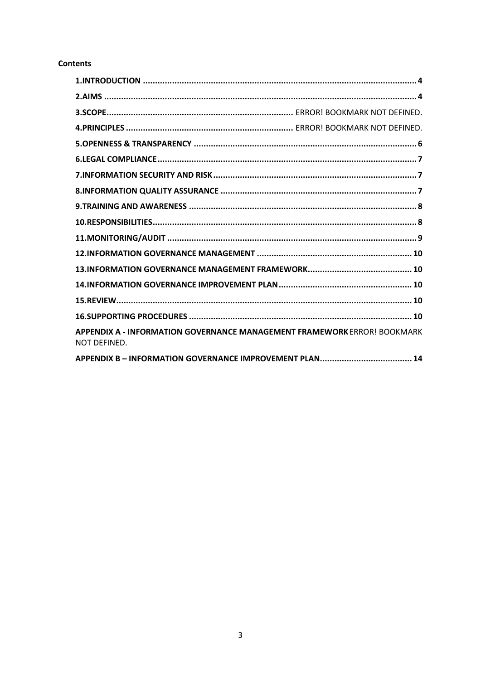## **Contents**

| APPENDIX A - INFORMATION GOVERNANCE MANAGEMENT FRAMEWORK ERROR! BOOKMARK<br>NOT DEFINED. |
|------------------------------------------------------------------------------------------|
|                                                                                          |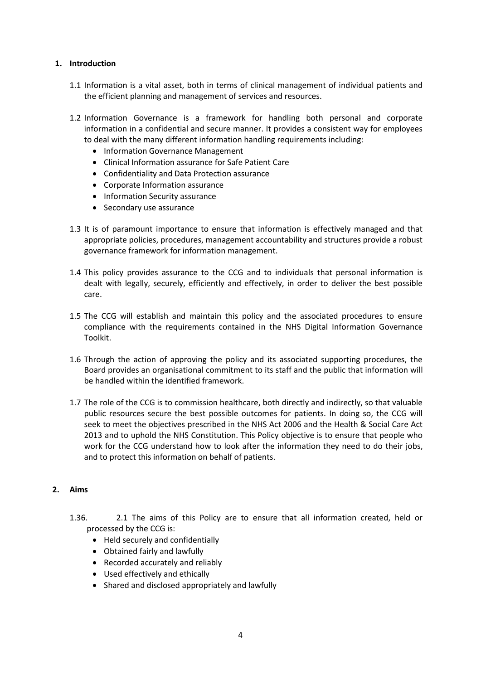## <span id="page-3-0"></span>**1. Introduction**

- 1.1 Information is a vital asset, both in terms of clinical management of individual patients and the efficient planning and management of services and resources.
- 1.2 Information Governance is a framework for handling both personal and corporate information in a confidential and secure manner. It provides a consistent way for employees to deal with the many different information handling requirements including:
	- Information Governance Management
	- Clinical Information assurance for Safe Patient Care
	- Confidentiality and Data Protection assurance
	- Corporate Information assurance
	- Information Security assurance
	- Secondary use assurance
- 1.3 It is of paramount importance to ensure that information is effectively managed and that appropriate policies, procedures, management accountability and structures provide a robust governance framework for information management.
- 1.4 This policy provides assurance to the CCG and to individuals that personal information is dealt with legally, securely, efficiently and effectively, in order to deliver the best possible care.
- 1.5 The CCG will establish and maintain this policy and the associated procedures to ensure compliance with the requirements contained in the NHS Digital Information Governance Toolkit.
- 1.6 Through the action of approving the policy and its associated supporting procedures, the Board provides an organisational commitment to its staff and the public that information will be handled within the identified framework.
- 1.7 The role of the CCG is to commission healthcare, both directly and indirectly, so that valuable public resources secure the best possible outcomes for patients. In doing so, the CCG will seek to meet the objectives prescribed in the NHS Act 2006 and the Health & Social Care Act 2013 and to uphold the NHS Constitution. This Policy objective is to ensure that people who work for the CCG understand how to look after the information they need to do their jobs, and to protect this information on behalf of patients.

#### <span id="page-3-1"></span>**2. Aims**

- 1.36. 2.1 The aims of this Policy are to ensure that all information created, held or processed by the CCG is:
	- Held securely and confidentially
	- Obtained fairly and lawfully
	- Recorded accurately and reliably
	- Used effectively and ethically
	- Shared and disclosed appropriately and lawfully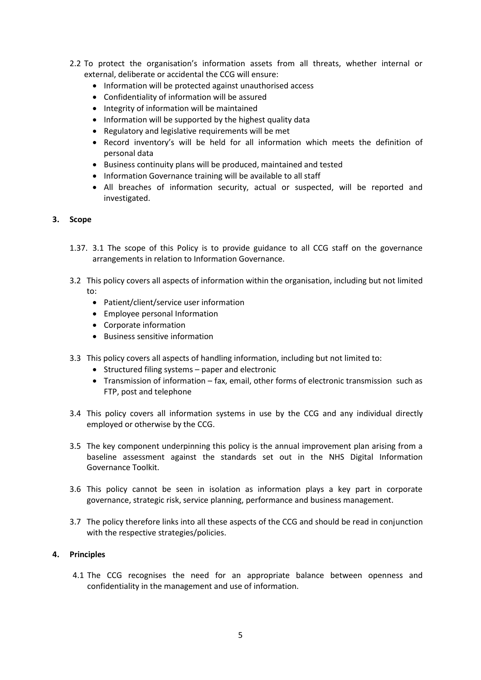- 2.2 To protect the organisation's information assets from all threats, whether internal or external, deliberate or accidental the CCG will ensure:
	- Information will be protected against unauthorised access
	- Confidentiality of information will be assured
	- Integrity of information will be maintained
	- Information will be supported by the highest quality data
	- Regulatory and legislative requirements will be met
	- Record inventory's will be held for all information which meets the definition of personal data
	- Business continuity plans will be produced, maintained and tested
	- Information Governance training will be available to all staff
	- All breaches of information security, actual or suspected, will be reported and investigated.

#### **3. Scope**

- 1.37. 3.1 The scope of this Policy is to provide guidance to all CCG staff on the governance arrangements in relation to Information Governance.
- 3.2 This policy covers all aspects of information within the organisation, including but not limited to:
	- Patient/client/service user information
	- Employee personal Information
	- Corporate information
	- Business sensitive information
- 3.3 This policy covers all aspects of handling information, including but not limited to:
	- $\bullet$  Structured filing systems paper and electronic
	- Transmission of information fax, email, other forms of electronic transmission such as FTP, post and telephone
- 3.4 This policy covers all information systems in use by the CCG and any individual directly employed or otherwise by the CCG.
- 3.5 The key component underpinning this policy is the annual improvement plan arising from a baseline assessment against the standards set out in the NHS Digital Information Governance Toolkit.
- 3.6 This policy cannot be seen in isolation as information plays a key part in corporate governance, strategic risk, service planning, performance and business management.
- 3.7 The policy therefore links into all these aspects of the CCG and should be read in conjunction with the respective strategies/policies.

#### **4. Principles**

4.1 The CCG recognises the need for an appropriate balance between openness and confidentiality in the management and use of information.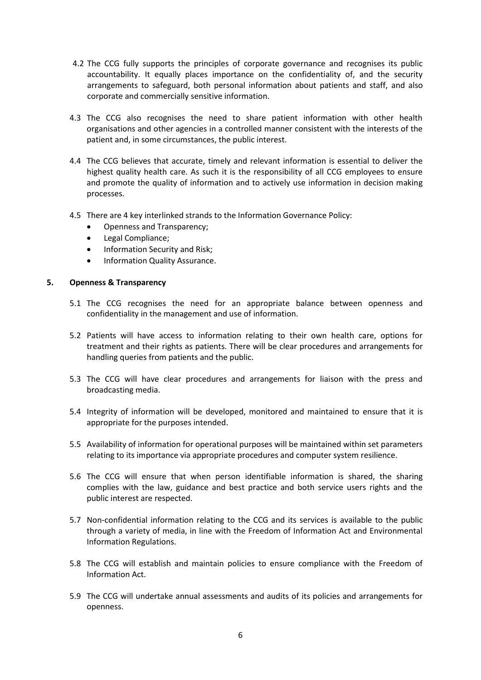- 4.2 The CCG fully supports the principles of corporate governance and recognises its public accountability. It equally places importance on the confidentiality of, and the security arrangements to safeguard, both personal information about patients and staff, and also corporate and commercially sensitive information.
- 4.3 The CCG also recognises the need to share patient information with other health organisations and other agencies in a controlled manner consistent with the interests of the patient and, in some circumstances, the public interest.
- 4.4 The CCG believes that accurate, timely and relevant information is essential to deliver the highest quality health care. As such it is the responsibility of all CCG employees to ensure and promote the quality of information and to actively use information in decision making processes.
- 4.5 There are 4 key interlinked strands to the Information Governance Policy:
	- Openness and Transparency;
	- Legal Compliance;
	- Information Security and Risk;
	- Information Quality Assurance.

#### <span id="page-5-0"></span>**5. Openness & Transparency**

- 5.1 The CCG recognises the need for an appropriate balance between openness and confidentiality in the management and use of information.
- 5.2 Patients will have access to information relating to their own health care, options for treatment and their rights as patients. There will be clear procedures and arrangements for handling queries from patients and the public.
- 5.3 The CCG will have clear procedures and arrangements for liaison with the press and broadcasting media.
- 5.4 Integrity of information will be developed, monitored and maintained to ensure that it is appropriate for the purposes intended.
- 5.5 Availability of information for operational purposes will be maintained within set parameters relating to its importance via appropriate procedures and computer system resilience.
- 5.6 The CCG will ensure that when person identifiable information is shared, the sharing complies with the law, guidance and best practice and both service users rights and the public interest are respected.
- 5.7 Non-confidential information relating to the CCG and its services is available to the public through a variety of media, in line with the Freedom of Information Act and Environmental Information Regulations.
- 5.8 The CCG will establish and maintain policies to ensure compliance with the Freedom of Information Act.
- 5.9 The CCG will undertake annual assessments and audits of its policies and arrangements for openness.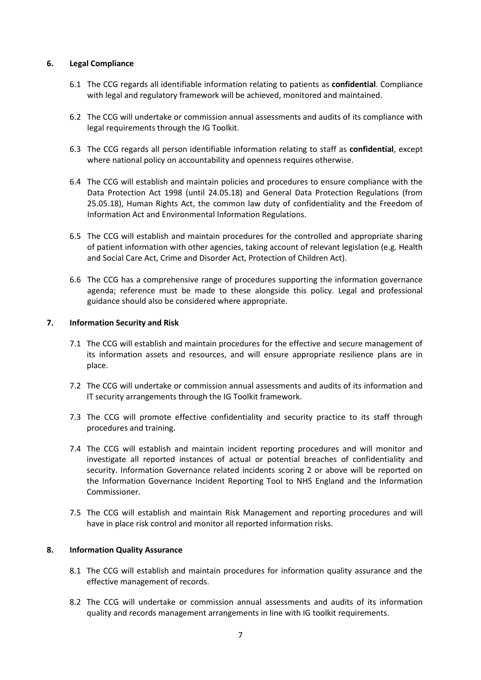## <span id="page-6-0"></span>**6. Legal Compliance**

- 6.1 The CCG regards all identifiable information relating to patients as **confidential**. Compliance with legal and regulatory framework will be achieved, monitored and maintained.
- 6.2 The CCG will undertake or commission annual assessments and audits of its compliance with legal requirements through the IG Toolkit.
- 6.3 The CCG regards all person identifiable information relating to staff as **confidential**, except where national policy on accountability and openness requires otherwise.
- 6.4 The CCG will establish and maintain policies and procedures to ensure compliance with the Data Protection Act 1998 (until 24.05.18) and General Data Protection Regulations (from 25.05.18), Human Rights Act, the common law duty of confidentiality and the Freedom of Information Act and Environmental Information Regulations.
- 6.5 The CCG will establish and maintain procedures for the controlled and appropriate sharing of patient information with other agencies, taking account of relevant legislation (e.g. Health and Social Care Act, Crime and Disorder Act, Protection of Children Act).
- 6.6 The CCG has a comprehensive range of procedures supporting the information governance agenda; reference must be made to these alongside this policy. Legal and professional guidance should also be considered where appropriate.

#### <span id="page-6-1"></span>**7. Information Security and Risk**

- 7.1 The CCG will establish and maintain procedures for the effective and secure management of its information assets and resources, and will ensure appropriate resilience plans are in place.
- 7.2 The CCG will undertake or commission annual assessments and audits of its information and IT security arrangements through the IG Toolkit framework.
- 7.3 The CCG will promote effective confidentiality and security practice to its staff through procedures and training.
- 7.4 The CCG will establish and maintain incident reporting procedures and will monitor and investigate all reported instances of actual or potential breaches of confidentiality and security. Information Governance related incidents scoring 2 or above will be reported on the Information Governance Incident Reporting Tool to NHS England and the Information Commissioner.
- 7.5 The CCG will establish and maintain Risk Management and reporting procedures and will have in place risk control and monitor all reported information risks.

# <span id="page-6-2"></span>**8. Information Quality Assurance**

- 8.1 The CCG will establish and maintain procedures for information quality assurance and the effective management of records.
- 8.2 The CCG will undertake or commission annual assessments and audits of its information quality and records management arrangements in line with IG toolkit requirements.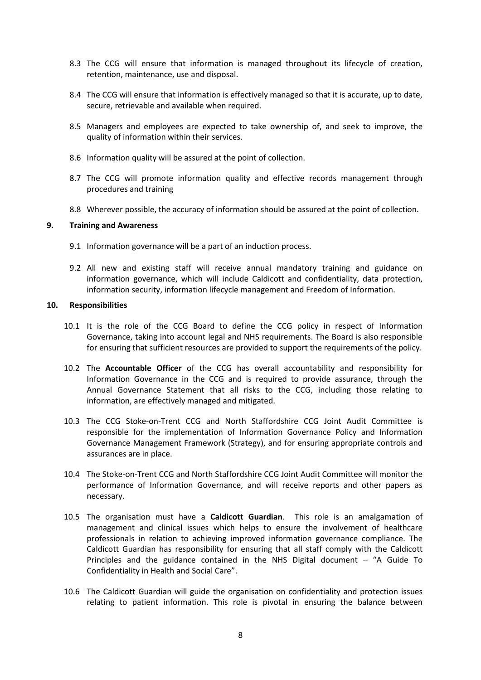- 8.3 The CCG will ensure that information is managed throughout its lifecycle of creation, retention, maintenance, use and disposal.
- 8.4 The CCG will ensure that information is effectively managed so that it is accurate, up to date, secure, retrievable and available when required.
- 8.5 Managers and employees are expected to take ownership of, and seek to improve, the quality of information within their services.
- 8.6 Information quality will be assured at the point of collection.
- 8.7 The CCG will promote information quality and effective records management through procedures and training
- 8.8 Wherever possible, the accuracy of information should be assured at the point of collection.

#### <span id="page-7-0"></span>**9. Training and Awareness**

- 9.1 Information governance will be a part of an induction process.
- 9.2 All new and existing staff will receive annual mandatory training and guidance on information governance, which will include Caldicott and confidentiality, data protection, information security, information lifecycle management and Freedom of Information.

#### <span id="page-7-1"></span>**10. Responsibilities**

- 10.1 It is the role of the CCG Board to define the CCG policy in respect of Information Governance, taking into account legal and NHS requirements. The Board is also responsible for ensuring that sufficient resources are provided to support the requirements of the policy.
- 10.2 The **Accountable Officer** of the CCG has overall accountability and responsibility for Information Governance in the CCG and is required to provide assurance, through the Annual Governance Statement that all risks to the CCG, including those relating to information, are effectively managed and mitigated.
- 10.3 The CCG Stoke-on-Trent CCG and North Staffordshire CCG Joint Audit Committee is responsible for the implementation of Information Governance Policy and Information Governance Management Framework (Strategy), and for ensuring appropriate controls and assurances are in place.
- 10.4 The Stoke-on-Trent CCG and North Staffordshire CCG Joint Audit Committee will monitor the performance of Information Governance, and will receive reports and other papers as necessary.
- 10.5 The organisation must have a **Caldicott Guardian**. This role is an amalgamation of management and clinical issues which helps to ensure the involvement of healthcare professionals in relation to achieving improved information governance compliance. The Caldicott Guardian has responsibility for ensuring that all staff comply with the Caldicott Principles and the guidance contained in the NHS Digital document – "A Guide To Confidentiality in Health and Social Care".
- 10.6 The Caldicott Guardian will guide the organisation on confidentiality and protection issues relating to patient information. This role is pivotal in ensuring the balance between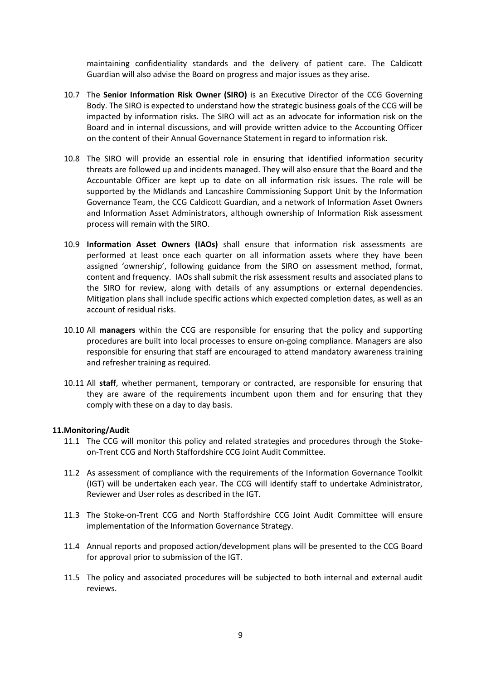maintaining confidentiality standards and the delivery of patient care. The Caldicott Guardian will also advise the Board on progress and major issues as they arise.

- 10.7 The **Senior Information Risk Owner (SIRO)** is an Executive Director of the CCG Governing Body. The SIRO is expected to understand how the strategic business goals of the CCG will be impacted by information risks. The SIRO will act as an advocate for information risk on the Board and in internal discussions, and will provide written advice to the Accounting Officer on the content of their Annual Governance Statement in regard to information risk.
- 10.8 The SIRO will provide an essential role in ensuring that identified information security threats are followed up and incidents managed. They will also ensure that the Board and the Accountable Officer are kept up to date on all information risk issues. The role will be supported by the Midlands and Lancashire Commissioning Support Unit by the Information Governance Team, the CCG Caldicott Guardian, and a network of Information Asset Owners and Information Asset Administrators, although ownership of Information Risk assessment process will remain with the SIRO.
- 10.9 **Information Asset Owners (IAOs)** shall ensure that information risk assessments are performed at least once each quarter on all information assets where they have been assigned 'ownership', following guidance from the SIRO on assessment method, format, content and frequency. IAOs shall submit the risk assessment results and associated plans to the SIRO for review, along with details of any assumptions or external dependencies. Mitigation plans shall include specific actions which expected completion dates, as well as an account of residual risks.
- 10.10 All **managers** within the CCG are responsible for ensuring that the policy and supporting procedures are built into local processes to ensure on-going compliance. Managers are also responsible for ensuring that staff are encouraged to attend mandatory awareness training and refresher training as required.
- 10.11 All **staff**, whether permanent, temporary or contracted, are responsible for ensuring that they are aware of the requirements incumbent upon them and for ensuring that they comply with these on a day to day basis.

#### <span id="page-8-0"></span>**11.Monitoring/Audit**

- 11.1 The CCG will monitor this policy and related strategies and procedures through the Stokeon-Trent CCG and North Staffordshire CCG Joint Audit Committee.
- 11.2 As assessment of compliance with the requirements of the Information Governance Toolkit (IGT) will be undertaken each year. The CCG will identify staff to undertake Administrator, Reviewer and User roles as described in the IGT.
- 11.3 The Stoke-on-Trent CCG and North Staffordshire CCG Joint Audit Committee will ensure implementation of the Information Governance Strategy.
- 11.4 Annual reports and proposed action/development plans will be presented to the CCG Board for approval prior to submission of the IGT.
- 11.5 The policy and associated procedures will be subjected to both internal and external audit reviews.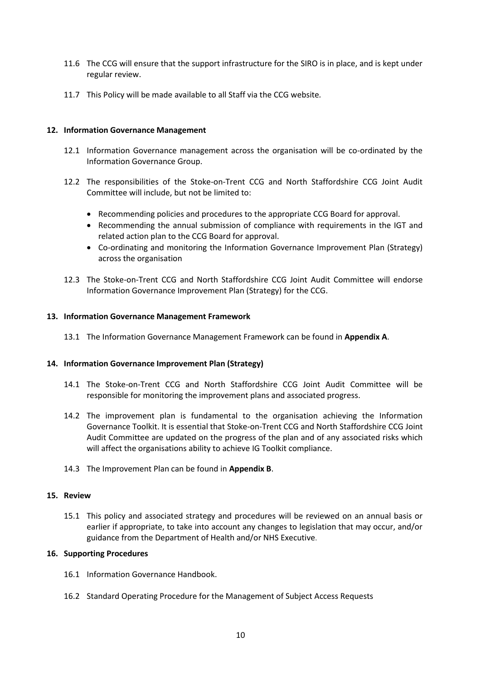- 11.6 The CCG will ensure that the support infrastructure for the SIRO is in place, and is kept under regular review.
- 11.7 This Policy will be made available to all Staff via the CCG website*.*

## <span id="page-9-0"></span>**12. Information Governance Management**

- 12.1 Information Governance management across the organisation will be co-ordinated by the Information Governance Group.
- 12.2 The responsibilities of the Stoke-on-Trent CCG and North Staffordshire CCG Joint Audit Committee will include, but not be limited to:
	- Recommending policies and procedures to the appropriate CCG Board for approval.
	- Recommending the annual submission of compliance with requirements in the IGT and related action plan to the CCG Board for approval.
	- Co-ordinating and monitoring the Information Governance Improvement Plan (Strategy) across the organisation
- 12.3 The Stoke-on-Trent CCG and North Staffordshire CCG Joint Audit Committee will endorse Information Governance Improvement Plan (Strategy) for the CCG.

#### <span id="page-9-1"></span>**13. Information Governance Management Framework**

13.1 The Information Governance Management Framework can be found in **Appendix A**.

#### <span id="page-9-2"></span>**14. Information Governance Improvement Plan (Strategy)**

- 14.1 The Stoke-on-Trent CCG and North Staffordshire CCG Joint Audit Committee will be responsible for monitoring the improvement plans and associated progress.
- 14.2 The improvement plan is fundamental to the organisation achieving the Information Governance Toolkit. It is essential that Stoke-on-Trent CCG and North Staffordshire CCG Joint Audit Committee are updated on the progress of the plan and of any associated risks which will affect the organisations ability to achieve IG Toolkit compliance.
- 14.3 The Improvement Plan can be found in **Appendix B**.

#### <span id="page-9-3"></span>**15. Review**

15.1 This policy and associated strategy and procedures will be reviewed on an annual basis or earlier if appropriate, to take into account any changes to legislation that may occur, and/or guidance from the Department of Health and/or NHS Executive.

#### <span id="page-9-4"></span>**16. Supporting Procedures**

- 16.1 Information Governance Handbook.
- 16.2 Standard Operating Procedure for the Management of Subject Access Requests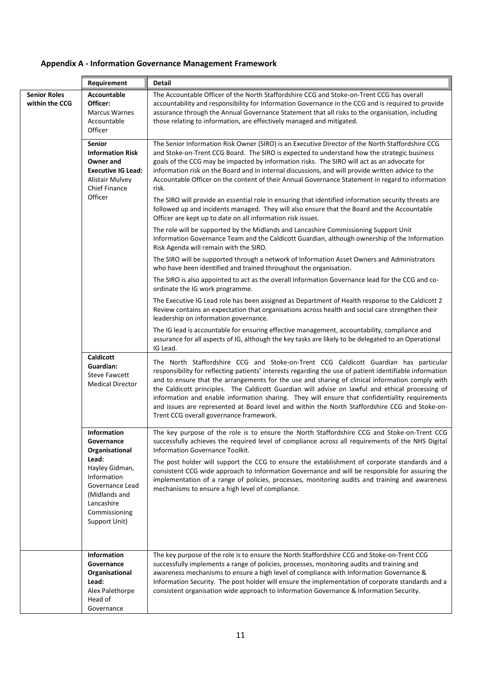# **Appendix A - Information Governance Management Framework**

| Requirement                           |                                                                                                                                          | Detail                                                                                                                                                                                                                                                                                                                                                                                                                                                                                                                                                                                                                                                                                                                                                                                 |  |  |  |
|---------------------------------------|------------------------------------------------------------------------------------------------------------------------------------------|----------------------------------------------------------------------------------------------------------------------------------------------------------------------------------------------------------------------------------------------------------------------------------------------------------------------------------------------------------------------------------------------------------------------------------------------------------------------------------------------------------------------------------------------------------------------------------------------------------------------------------------------------------------------------------------------------------------------------------------------------------------------------------------|--|--|--|
| <b>Senior Roles</b><br>within the CCG | Accountable<br>Officer:<br><b>Marcus Warnes</b><br>Accountable<br>Officer                                                                | The Accountable Officer of the North Staffordshire CCG and Stoke-on-Trent CCG has overall<br>accountability and responsibility for Information Governance in the CCG and is required to provide<br>assurance through the Annual Governance Statement that all risks to the organisation, including<br>those relating to information, are effectively managed and mitigated.                                                                                                                                                                                                                                                                                                                                                                                                            |  |  |  |
|                                       | <b>Senior</b><br><b>Information Risk</b><br>Owner and<br><b>Executive IG Lead:</b><br><b>Alistair Mulvey</b><br>Chief Finance<br>Officer | The Senior Information Risk Owner (SIRO) is an Executive Director of the North Staffordshire CCG<br>and Stoke-on-Trent CCG Board. The SIRO is expected to understand how the strategic business<br>goals of the CCG may be impacted by information risks. The SIRO will act as an advocate for<br>information risk on the Board and in internal discussions, and will provide written advice to the<br>Accountable Officer on the content of their Annual Governance Statement in regard to information<br>risk.<br>The SIRO will provide an essential role in ensuring that identified information security threats are<br>followed up and incidents managed. They will also ensure that the Board and the Accountable<br>Officer are kept up to date on all information risk issues. |  |  |  |
|                                       |                                                                                                                                          | The role will be supported by the Midlands and Lancashire Commissioning Support Unit<br>Information Governance Team and the Caldicott Guardian, although ownership of the Information<br>Risk Agenda will remain with the SIRO.                                                                                                                                                                                                                                                                                                                                                                                                                                                                                                                                                        |  |  |  |
|                                       |                                                                                                                                          | The SIRO will be supported through a network of Information Asset Owners and Administrators<br>who have been identified and trained throughout the organisation.                                                                                                                                                                                                                                                                                                                                                                                                                                                                                                                                                                                                                       |  |  |  |
|                                       |                                                                                                                                          | The SIRO is also appointed to act as the overall Information Governance lead for the CCG and co-<br>ordinate the IG work programme.                                                                                                                                                                                                                                                                                                                                                                                                                                                                                                                                                                                                                                                    |  |  |  |
|                                       |                                                                                                                                          | The Executive IG Lead role has been assigned as Department of Health response to the Caldicott 2<br>Review contains an expectation that organisations across health and social care strengthen their<br>leadership on information governance.                                                                                                                                                                                                                                                                                                                                                                                                                                                                                                                                          |  |  |  |
|                                       |                                                                                                                                          | The IG lead is accountable for ensuring effective management, accountability, compliance and<br>assurance for all aspects of IG, although the key tasks are likely to be delegated to an Operational<br>IG Lead.                                                                                                                                                                                                                                                                                                                                                                                                                                                                                                                                                                       |  |  |  |
|                                       | Caldicott<br>Guardian:<br><b>Steve Fawcett</b><br><b>Medical Director</b>                                                                | The North Staffordshire CCG and Stoke-on-Trent CCG Caldicott Guardian has particular<br>responsibility for reflecting patients' interests regarding the use of patient identifiable information<br>and to ensure that the arrangements for the use and sharing of clinical information comply with<br>the Caldicott principles. The Caldicott Guardian will advise on lawful and ethical processing of<br>information and enable information sharing. They will ensure that confidentiality requirements<br>and issues are represented at Board level and within the North Staffordshire CCG and Stoke-on-<br>Trent CCG overall governance framework.                                                                                                                                  |  |  |  |
|                                       | Information<br>Governance<br>Organisational                                                                                              | The key purpose of the role is to ensure the North Staffordshire CCG and Stoke-on-Trent CCG<br>successfully achieves the required level of compliance across all requirements of the NHS Digital<br>Information Governance Toolkit.                                                                                                                                                                                                                                                                                                                                                                                                                                                                                                                                                    |  |  |  |
|                                       | Lead:<br>Hayley Gidman,<br>Information<br>Governance Lead<br>(Midlands and<br>Lancashire<br>Commissioning<br>Support Unit)               | The post holder will support the CCG to ensure the establishment of corporate standards and a<br>consistent CCG wide approach to Information Governance and will be responsible for assuring the<br>implementation of a range of policies, processes, monitoring audits and training and awareness<br>mechanisms to ensure a high level of compliance.                                                                                                                                                                                                                                                                                                                                                                                                                                 |  |  |  |
|                                       | <b>Information</b><br>Governance<br>Organisational<br>Lead:<br>Alex Palethorpe<br>Head of<br>Governance                                  | The key purpose of the role is to ensure the North Staffordshire CCG and Stoke-on-Trent CCG<br>successfully implements a range of policies, processes, monitoring audits and training and<br>awareness mechanisms to ensure a high level of compliance with Information Governance &<br>Information Security. The post holder will ensure the implementation of corporate standards and a<br>consistent organisation wide approach to Information Governance & Information Security.                                                                                                                                                                                                                                                                                                   |  |  |  |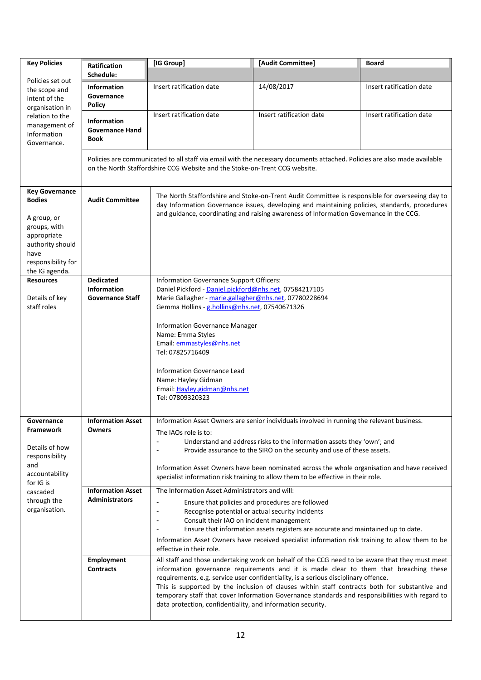| <b>Key Policies</b>                                                                                                                                                                                                                                                                                                                                                                                                                                                                                                                                                                              | <b>Ratification</b>                                               | [IG Group]                                                                                                                                                                                                                                                                                                                                                                                                                                                                                                                                        | [Audit Committee]                                                                                                                                                                                                                                                                          | <b>Board</b>             |  |  |
|--------------------------------------------------------------------------------------------------------------------------------------------------------------------------------------------------------------------------------------------------------------------------------------------------------------------------------------------------------------------------------------------------------------------------------------------------------------------------------------------------------------------------------------------------------------------------------------------------|-------------------------------------------------------------------|---------------------------------------------------------------------------------------------------------------------------------------------------------------------------------------------------------------------------------------------------------------------------------------------------------------------------------------------------------------------------------------------------------------------------------------------------------------------------------------------------------------------------------------------------|--------------------------------------------------------------------------------------------------------------------------------------------------------------------------------------------------------------------------------------------------------------------------------------------|--------------------------|--|--|
| Policies set out                                                                                                                                                                                                                                                                                                                                                                                                                                                                                                                                                                                 | Schedule:                                                         |                                                                                                                                                                                                                                                                                                                                                                                                                                                                                                                                                   |                                                                                                                                                                                                                                                                                            |                          |  |  |
| the scope and<br>intent of the<br>organisation in                                                                                                                                                                                                                                                                                                                                                                                                                                                                                                                                                | <b>Information</b><br>Governance<br><b>Policy</b>                 | Insert ratification date                                                                                                                                                                                                                                                                                                                                                                                                                                                                                                                          | 14/08/2017                                                                                                                                                                                                                                                                                 | Insert ratification date |  |  |
| relation to the<br>management of<br>Information<br>Governance.                                                                                                                                                                                                                                                                                                                                                                                                                                                                                                                                   | <b>Information</b><br><b>Governance Hand</b><br>Book              | Insert ratification date                                                                                                                                                                                                                                                                                                                                                                                                                                                                                                                          | Insert ratification date                                                                                                                                                                                                                                                                   | Insert ratification date |  |  |
|                                                                                                                                                                                                                                                                                                                                                                                                                                                                                                                                                                                                  |                                                                   | on the North Staffordshire CCG Website and the Stoke-on-Trent CCG website.                                                                                                                                                                                                                                                                                                                                                                                                                                                                        | Policies are communicated to all staff via email with the necessary documents attached. Policies are also made available                                                                                                                                                                   |                          |  |  |
| <b>Key Governance</b><br><b>Bodies</b><br>A group, or<br>groups, with<br>appropriate<br>authority should<br>have<br>responsibility for<br>the IG agenda.                                                                                                                                                                                                                                                                                                                                                                                                                                         | <b>Audit Committee</b>                                            |                                                                                                                                                                                                                                                                                                                                                                                                                                                                                                                                                   | The North Staffordshire and Stoke-on-Trent Audit Committee is responsible for overseeing day to<br>day Information Governance issues, developing and maintaining policies, standards, procedures<br>and guidance, coordinating and raising awareness of Information Governance in the CCG. |                          |  |  |
| <b>Resources</b><br>Details of key<br>staff roles                                                                                                                                                                                                                                                                                                                                                                                                                                                                                                                                                | <b>Dedicated</b><br><b>Information</b><br><b>Governance Staff</b> | Information Governance Support Officers:<br>Daniel Pickford - Daniel.pickford@nhs.net, 07584217105<br>Marie Gallagher - marie.gallagher@nhs.net, 07780228694<br>Gemma Hollins - g.hollins@nhs.net, 07540671326<br>Information Governance Manager<br>Name: Emma Styles<br>Email: emmastyles@nhs.net<br>Tel: 07825716409<br>Information Governance Lead<br>Name: Hayley Gidman<br>Email: Hayley.gidman@nhs.net<br>Tel: 07809320323                                                                                                                  |                                                                                                                                                                                                                                                                                            |                          |  |  |
| <b>Information Asset</b><br>Information Asset Owners are senior individuals involved in running the relevant business.<br>Governance<br><b>Framework</b><br>Owners<br>The IAOs role is to:<br>Understand and address risks to the information assets they 'own'; and<br>Details of how<br>Provide assurance to the SIRO on the security and use of these assets.<br>responsibility<br>and<br>Information Asset Owners have been nominated across the whole organisation and have received<br>accountability<br>specialist information risk training to allow them to be effective in their role. |                                                                   |                                                                                                                                                                                                                                                                                                                                                                                                                                                                                                                                                   |                                                                                                                                                                                                                                                                                            |                          |  |  |
| for IG is<br>cascaded<br>through the<br>organisation.                                                                                                                                                                                                                                                                                                                                                                                                                                                                                                                                            | <b>Information Asset</b><br><b>Administrators</b>                 | The Information Asset Administrators and will:<br>Ensure that policies and procedures are followed<br>Recognise potential or actual security incidents<br>Consult their IAO on incident management<br>Ensure that information assets registers are accurate and maintained up to date.<br>Information Asset Owners have received specialist information risk training to allow them to be<br>effective in their role.                                                                                                                             |                                                                                                                                                                                                                                                                                            |                          |  |  |
|                                                                                                                                                                                                                                                                                                                                                                                                                                                                                                                                                                                                  | Employment<br><b>Contracts</b>                                    | All staff and those undertaking work on behalf of the CCG need to be aware that they must meet<br>information governance requirements and it is made clear to them that breaching these<br>requirements, e.g. service user confidentiality, is a serious disciplinary offence.<br>This is supported by the inclusion of clauses within staff contracts both for substantive and<br>temporary staff that cover Information Governance standards and responsibilities with regard to<br>data protection, confidentiality, and information security. |                                                                                                                                                                                                                                                                                            |                          |  |  |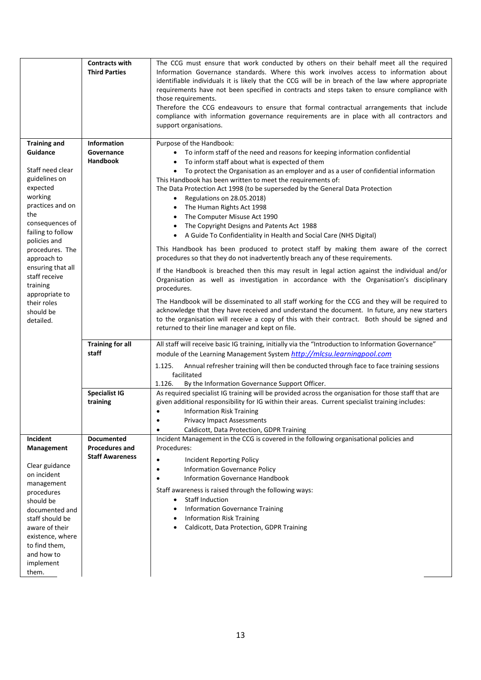|                                                                                                                                                                                                                                  | <b>Contracts with</b><br><b>Third Parties</b>                        | The CCG must ensure that work conducted by others on their behalf meet all the required<br>Information Governance standards. Where this work involves access to information about<br>identifiable individuals it is likely that the CCG will be in breach of the law where appropriate<br>requirements have not been specified in contracts and steps taken to ensure compliance with<br>those requirements.<br>Therefore the CCG endeavours to ensure that formal contractual arrangements that include<br>compliance with information governance requirements are in place with all contractors and<br>support organisations.                                                                                                              |
|----------------------------------------------------------------------------------------------------------------------------------------------------------------------------------------------------------------------------------|----------------------------------------------------------------------|----------------------------------------------------------------------------------------------------------------------------------------------------------------------------------------------------------------------------------------------------------------------------------------------------------------------------------------------------------------------------------------------------------------------------------------------------------------------------------------------------------------------------------------------------------------------------------------------------------------------------------------------------------------------------------------------------------------------------------------------|
| <b>Training and</b><br>Guidance<br>Staff need clear<br>guidelines on<br>expected<br>working<br>practices and on<br>the<br>consequences of<br>failing to follow<br>policies and                                                   | <b>Information</b><br>Governance<br><b>Handbook</b>                  | Purpose of the Handbook:<br>• To inform staff of the need and reasons for keeping information confidential<br>To inform staff about what is expected of them<br>• To protect the Organisation as an employer and as a user of confidential information<br>This Handbook has been written to meet the requirements of:<br>The Data Protection Act 1998 (to be superseded by the General Data Protection<br>Regulations on 28.05.2018)<br>$\bullet$<br>The Human Rights Act 1998<br>The Computer Misuse Act 1990<br>The Copyright Designs and Patents Act 1988<br>A Guide To Confidentiality in Health and Social Care (NHS Digital)                                                                                                           |
| procedures. The<br>approach to<br>ensuring that all<br>staff receive<br>training<br>appropriate to<br>their roles<br>should be<br>detailed.                                                                                      |                                                                      | This Handbook has been produced to protect staff by making them aware of the correct<br>procedures so that they do not inadvertently breach any of these requirements.<br>If the Handbook is breached then this may result in legal action against the individual and/or<br>Organisation as well as investigation in accordance with the Organisation's disciplinary<br>procedures.<br>The Handbook will be disseminated to all staff working for the CCG and they will be required to<br>acknowledge that they have received and understand the document. In future, any new starters<br>to the organisation will receive a copy of this with their contract. Both should be signed and<br>returned to their line manager and kept on file. |
|                                                                                                                                                                                                                                  | <b>Training for all</b><br>staff                                     | All staff will receive basic IG training, initially via the "Introduction to Information Governance"<br>module of the Learning Management System http://mlcsu.learningpool.com<br>Annual refresher training will then be conducted through face to face training sessions<br>1.125.<br>facilitated<br>1.126.<br>By the Information Governance Support Officer.                                                                                                                                                                                                                                                                                                                                                                               |
|                                                                                                                                                                                                                                  | <b>Specialist IG</b><br>training                                     | As required specialist IG training will be provided across the organisation for those staff that are<br>given additional responsibility for IG within their areas. Current specialist training includes:<br><b>Information Risk Training</b><br>$\bullet$<br><b>Privacy Impact Assessments</b><br>Caldicott, Data Protection, GDPR Training                                                                                                                                                                                                                                                                                                                                                                                                  |
| Incident<br>Management<br>Clear guidance<br>on incident<br>management<br>procedures<br>should be<br>documented and<br>staff should be<br>aware of their<br>existence, where<br>to find them,<br>and how to<br>implement<br>them. | <b>Documented</b><br><b>Procedures and</b><br><b>Staff Awareness</b> | Incident Management in the CCG is covered in the following organisational policies and<br>Procedures:<br><b>Incident Reporting Policy</b><br>$\bullet$<br>Information Governance Policy<br>$\bullet$<br>Information Governance Handbook<br>Staff awareness is raised through the following ways:<br><b>Staff Induction</b><br>$\bullet$<br><b>Information Governance Training</b><br><b>Information Risk Training</b><br>Caldicott, Data Protection, GDPR Training                                                                                                                                                                                                                                                                           |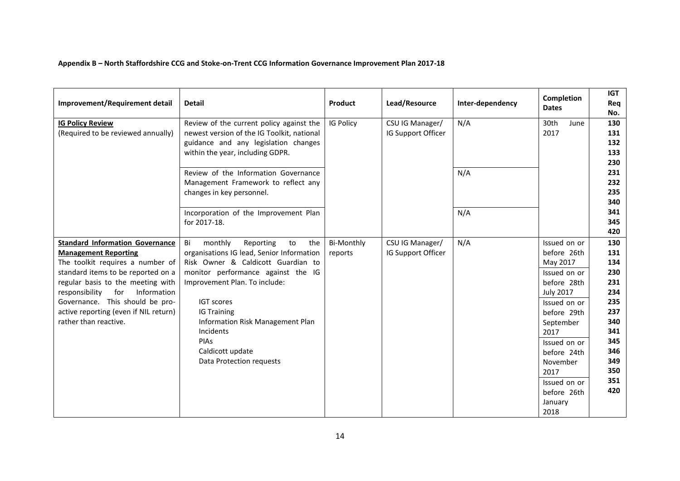# **Appendix B – North Staffordshire CCG and Stoke-on-Trent CCG Information Governance Improvement Plan 2017-18**

<span id="page-13-0"></span>

| Improvement/Requirement detail                                                                                                                                                                                                                                                                                                    | <b>Detail</b>                                                                                                                                                                                                                                                                                                                                         | Product                      | Lead/Resource                         | Inter-dependency  | Completion<br><b>Dates</b>                                                                                                                                                                                                                  | <b>IGT</b><br>Req<br>No.                                                                                            |
|-----------------------------------------------------------------------------------------------------------------------------------------------------------------------------------------------------------------------------------------------------------------------------------------------------------------------------------|-------------------------------------------------------------------------------------------------------------------------------------------------------------------------------------------------------------------------------------------------------------------------------------------------------------------------------------------------------|------------------------------|---------------------------------------|-------------------|---------------------------------------------------------------------------------------------------------------------------------------------------------------------------------------------------------------------------------------------|---------------------------------------------------------------------------------------------------------------------|
| <b>IG Policy Review</b><br>(Required to be reviewed annually)                                                                                                                                                                                                                                                                     | Review of the current policy against the<br>newest version of the IG Toolkit, national<br>guidance and any legislation changes<br>within the year, including GDPR.<br>Review of the Information Governance<br>Management Framework to reflect any<br>changes in key personnel.<br>Incorporation of the Improvement Plan<br>for 2017-18.               | IG Policy                    | CSU IG Manager/<br>IG Support Officer | N/A<br>N/A<br>N/A | 30th<br>June<br>2017                                                                                                                                                                                                                        | 130<br>131<br>132<br>133<br>230<br>231<br>232<br>235<br>340<br>341<br>345                                           |
| <b>Standard Information Governance</b><br><b>Management Reporting</b><br>The toolkit requires a number of<br>standard items to be reported on a<br>regular basis to the meeting with<br>responsibility<br>Information<br>for<br>Governance. This should be pro-<br>active reporting (even if NIL return)<br>rather than reactive. | monthly<br>Bi<br>Reporting<br>to<br>the<br>organisations IG lead, Senior Information<br>Risk Owner & Caldicott Guardian to<br>monitor performance against the IG<br>Improvement Plan. To include:<br><b>IGT scores</b><br><b>IG Training</b><br>Information Risk Management Plan<br>Incidents<br>PIAs<br>Caldicott update<br>Data Protection requests | <b>Bi-Monthly</b><br>reports | CSU IG Manager/<br>IG Support Officer | N/A               | Issued on or<br>before 26th<br>May 2017<br>Issued on or<br>before 28th<br><b>July 2017</b><br>Issued on or<br>before 29th<br>September<br>2017<br>Issued on or<br>before 24th<br>November<br>2017<br>Issued on or<br>before 26th<br>January | 420<br>130<br>131<br>134<br>230<br>231<br>234<br>235<br>237<br>340<br>341<br>345<br>346<br>349<br>350<br>351<br>420 |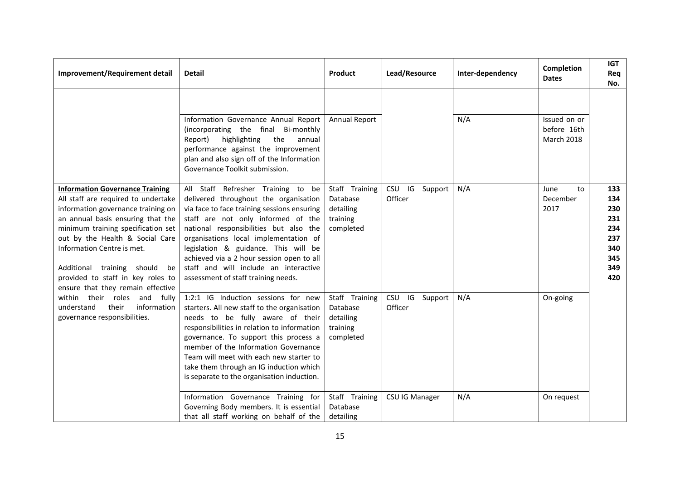| Improvement/Requirement detail                                                                                                                                                                                                                                                                                                                                                | <b>Detail</b>                                                                                                                                                                                                                                                                                                                                                                                                            | <b>Product</b>                                                   | Lead/Resource             | Inter-dependency | <b>Completion</b><br><b>Dates</b>                | <b>IGT</b><br>Req<br>No.                                           |
|-------------------------------------------------------------------------------------------------------------------------------------------------------------------------------------------------------------------------------------------------------------------------------------------------------------------------------------------------------------------------------|--------------------------------------------------------------------------------------------------------------------------------------------------------------------------------------------------------------------------------------------------------------------------------------------------------------------------------------------------------------------------------------------------------------------------|------------------------------------------------------------------|---------------------------|------------------|--------------------------------------------------|--------------------------------------------------------------------|
|                                                                                                                                                                                                                                                                                                                                                                               | Information Governance Annual Report<br>(incorporating the final Bi-monthly<br>highlighting<br>Report)<br>the<br>annual<br>performance against the improvement<br>plan and also sign off of the Information<br>Governance Toolkit submission.                                                                                                                                                                            | Annual Report                                                    |                           | N/A              | Issued on or<br>before 16th<br><b>March 2018</b> |                                                                    |
| <b>Information Governance Training</b><br>All staff are required to undertake<br>information governance training on<br>an annual basis ensuring that the<br>minimum training specification set<br>out by the Health & Social Care<br>Information Centre is met.<br>Additional training should<br>be<br>provided to staff in key roles to<br>ensure that they remain effective | All Staff Refresher Training to be<br>delivered throughout the organisation<br>via face to face training sessions ensuring<br>staff are not only informed of the<br>national responsibilities but also the<br>organisations local implementation of<br>legislation & guidance. This will be<br>achieved via a 2 hour session open to all<br>staff and will include an interactive<br>assessment of staff training needs. | Staff Training<br>Database<br>detailing<br>training<br>completed | CSU IG Support<br>Officer | N/A              | June<br>to<br>December<br>2017                   | 133<br>134<br>230<br>231<br>234<br>237<br>340<br>345<br>349<br>420 |
| within their roles<br>and fully<br>their<br>information<br>understand<br>governance responsibilities.                                                                                                                                                                                                                                                                         | 1:2:1 IG Induction sessions for new<br>starters. All new staff to the organisation<br>needs to be fully aware of their<br>responsibilities in relation to information<br>governance. To support this process a<br>member of the Information Governance<br>Team will meet with each new starter to<br>take them through an IG induction which<br>is separate to the organisation induction.                               | Staff Training<br>Database<br>detailing<br>training<br>completed | CSU IG Support<br>Officer | N/A              | On-going                                         |                                                                    |
|                                                                                                                                                                                                                                                                                                                                                                               | Information Governance Training for<br>Governing Body members. It is essential<br>that all staff working on behalf of the                                                                                                                                                                                                                                                                                                | Staff Training<br>Database<br>detailing                          | <b>CSU IG Manager</b>     | N/A              | On request                                       |                                                                    |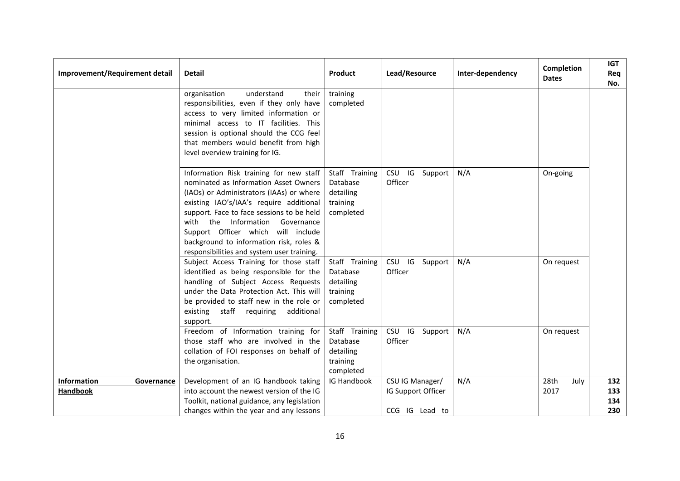| Improvement/Requirement detail               | <b>Detail</b>                                                                                                                                                                                                                                                                                                                                                                          | Product                                                          | Lead/Resource                                           | Inter-dependency | <b>Completion</b><br><b>Dates</b> | <b>IGT</b><br>Req<br>No. |
|----------------------------------------------|----------------------------------------------------------------------------------------------------------------------------------------------------------------------------------------------------------------------------------------------------------------------------------------------------------------------------------------------------------------------------------------|------------------------------------------------------------------|---------------------------------------------------------|------------------|-----------------------------------|--------------------------|
|                                              | understand<br>organisation<br>their<br>responsibilities, even if they only have<br>access to very limited information or<br>minimal access to IT facilities. This<br>session is optional should the CCG feel<br>that members would benefit from high<br>level overview training for IG.                                                                                                | training<br>completed                                            |                                                         |                  |                                   |                          |
|                                              | Information Risk training for new staff<br>nominated as Information Asset Owners<br>(IAOs) or Administrators (IAAs) or where<br>existing IAO's/IAA's require additional<br>support. Face to face sessions to be held<br>with the Information Governance<br>Support Officer which will include<br>background to information risk, roles &<br>responsibilities and system user training. | Staff Training<br>Database<br>detailing<br>training<br>completed | IG<br><b>CSU</b><br>Support<br>Officer                  | N/A              | On-going                          |                          |
|                                              | Subject Access Training for those staff<br>identified as being responsible for the<br>handling of Subject Access Requests<br>under the Data Protection Act. This will<br>be provided to staff new in the role or<br>existing<br>staff requiring<br>additional<br>support.                                                                                                              | Staff Training<br>Database<br>detailing<br>training<br>completed | CSU<br>IG Support<br>Officer                            | N/A              | On request                        |                          |
|                                              | Freedom of Information training for<br>those staff who are involved in the<br>collation of FOI responses on behalf of<br>the organisation.                                                                                                                                                                                                                                             | Staff Training<br>Database<br>detailing<br>training<br>completed | CSU IG<br>Support<br>Officer                            | N/A              | On request                        |                          |
| <b>Information</b><br>Governance<br>Handbook | Development of an IG handbook taking<br>into account the newest version of the IG<br>Toolkit, national guidance, any legislation<br>changes within the year and any lessons                                                                                                                                                                                                            | IG Handbook                                                      | CSU IG Manager/<br>IG Support Officer<br>CCG IG Lead to | N/A              | 28th<br>July<br>2017              | 132<br>133<br>134<br>230 |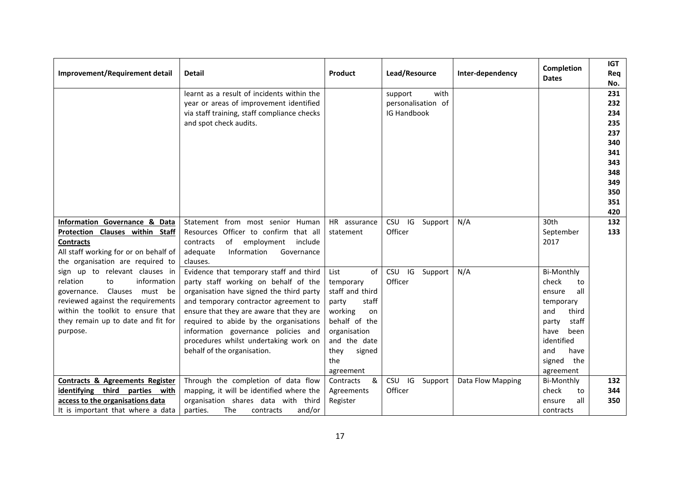| Improvement/Requirement detail                                                                                                                                                                                                | <b>Detail</b>                                                                                                                                                                                                                                                                                                                                                             | Product                                                                                                                                                              | Lead/Resource                                               | Inter-dependency  | Completion<br><b>Dates</b>                                                                                                                                               | <b>IGT</b><br>Req<br>No.                                                                |
|-------------------------------------------------------------------------------------------------------------------------------------------------------------------------------------------------------------------------------|---------------------------------------------------------------------------------------------------------------------------------------------------------------------------------------------------------------------------------------------------------------------------------------------------------------------------------------------------------------------------|----------------------------------------------------------------------------------------------------------------------------------------------------------------------|-------------------------------------------------------------|-------------------|--------------------------------------------------------------------------------------------------------------------------------------------------------------------------|-----------------------------------------------------------------------------------------|
|                                                                                                                                                                                                                               | learnt as a result of incidents within the<br>year or areas of improvement identified<br>via staff training, staff compliance checks<br>and spot check audits.                                                                                                                                                                                                            |                                                                                                                                                                      | with<br>support<br>personalisation of<br><b>IG Handbook</b> |                   |                                                                                                                                                                          | 231<br>232<br>234<br>235<br>237<br>340<br>341<br>343<br>348<br>349<br>350<br>351<br>420 |
| Information Governance & Data<br>Protection Clauses within Staff<br><b>Contracts</b><br>All staff working for or on behalf of<br>the organisation are required to                                                             | Statement from most senior Human<br>Resources Officer to confirm that all<br>of<br>contracts<br>employment<br>include<br>adequate<br>Information<br>Governance<br>clauses.                                                                                                                                                                                                | HR assurance<br>statement                                                                                                                                            | CSU IG<br>Support<br>Officer                                | N/A               | 30th<br>September<br>2017                                                                                                                                                | 132<br>133                                                                              |
| sign up to relevant clauses in<br>information<br>relation<br>to<br>Clauses must be<br>governance.<br>reviewed against the requirements<br>within the toolkit to ensure that<br>they remain up to date and fit for<br>purpose. | Evidence that temporary staff and third<br>party staff working on behalf of the<br>organisation have signed the third party<br>and temporary contractor agreement to<br>ensure that they are aware that they are<br>required to abide by the organisations<br>information governance policies and<br>procedures whilst undertaking work on<br>behalf of the organisation. | List<br>of<br>temporary<br>staff and third<br>staff<br>party<br>working<br>on<br>behalf of the<br>organisation<br>and the date<br>signed<br>they<br>the<br>agreement | CSU IG<br>Support<br>Officer                                | N/A               | <b>Bi-Monthly</b><br>check<br>to<br>all<br>ensure<br>temporary<br>third<br>and<br>staff<br>party<br>been<br>have<br>identified<br>and<br>have<br>signed the<br>agreement |                                                                                         |
| <b>Contracts &amp; Agreements Register</b><br>identifying third parties with<br>access to the organisations data<br>It is important that where a data                                                                         | Through the completion of data flow<br>mapping, it will be identified where the<br>organisation shares data with third<br>The<br>and/or<br>parties.<br>contracts                                                                                                                                                                                                          | &<br>Contracts<br>Agreements<br>Register                                                                                                                             | CSU<br>IG<br>Support<br>Officer                             | Data Flow Mapping | <b>Bi-Monthly</b><br>check<br>to<br>all<br>ensure<br>contracts                                                                                                           | 132<br>344<br>350                                                                       |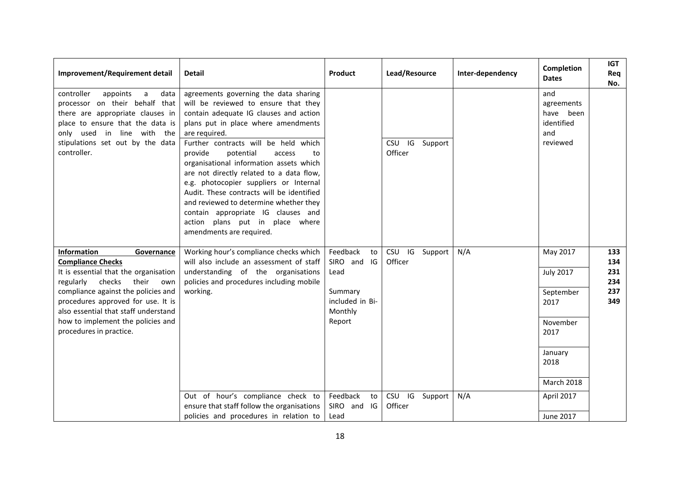| Improvement/Requirement detail                                                                                                                                                                                                 | <b>Detail</b>                                                                                                                                                                                                                                                                                                                                                                                                                                                                                                                                                                                | Product                               | Lead/Resource                       | Inter-dependency | <b>Completion</b><br><b>Dates</b>                               | <b>IGT</b><br>Req<br>No. |
|--------------------------------------------------------------------------------------------------------------------------------------------------------------------------------------------------------------------------------|----------------------------------------------------------------------------------------------------------------------------------------------------------------------------------------------------------------------------------------------------------------------------------------------------------------------------------------------------------------------------------------------------------------------------------------------------------------------------------------------------------------------------------------------------------------------------------------------|---------------------------------------|-------------------------------------|------------------|-----------------------------------------------------------------|--------------------------|
| controller<br>appoints<br>a<br>data<br>processor on their behalf that<br>there are appropriate clauses in<br>place to ensure that the data is<br>only used in line with the<br>stipulations set out by the data<br>controller. | agreements governing the data sharing<br>will be reviewed to ensure that they<br>contain adequate IG clauses and action<br>plans put in place where amendments<br>are required.<br>Further contracts will be held which<br>provide<br>potential<br>access<br>to<br>organisational information assets which<br>are not directly related to a data flow,<br>e.g. photocopier suppliers or Internal<br>Audit. These contracts will be identified<br>and reviewed to determine whether they<br>contain appropriate IG clauses and<br>action plans put in place where<br>amendments are required. |                                       | IG Support<br><b>CSU</b><br>Officer |                  | and<br>agreements<br>have been<br>identified<br>and<br>reviewed |                          |
| <b>Information</b><br>Governance<br><b>Compliance Checks</b><br>It is essential that the organisation                                                                                                                          | Working hour's compliance checks which<br>will also include an assessment of staff<br>understanding of the organisations                                                                                                                                                                                                                                                                                                                                                                                                                                                                     | Feedback<br>to<br>SIRO and IG<br>Lead | CSU IG Support<br>Officer           | N/A              | May 2017<br><b>July 2017</b>                                    | 133<br>134<br>231        |
| regularly<br>checks<br>their<br>own                                                                                                                                                                                            | policies and procedures including mobile                                                                                                                                                                                                                                                                                                                                                                                                                                                                                                                                                     |                                       |                                     |                  |                                                                 | 234                      |
| compliance against the policies and<br>procedures approved for use. It is<br>also essential that staff understand                                                                                                              | working.                                                                                                                                                                                                                                                                                                                                                                                                                                                                                                                                                                                     | Summary<br>included in Bi-<br>Monthly |                                     |                  | September<br>2017                                               | 237<br>349               |
| how to implement the policies and<br>procedures in practice.                                                                                                                                                                   |                                                                                                                                                                                                                                                                                                                                                                                                                                                                                                                                                                                              | Report                                |                                     |                  | November<br>2017                                                |                          |
|                                                                                                                                                                                                                                |                                                                                                                                                                                                                                                                                                                                                                                                                                                                                                                                                                                              |                                       |                                     |                  | January<br>2018                                                 |                          |
|                                                                                                                                                                                                                                |                                                                                                                                                                                                                                                                                                                                                                                                                                                                                                                                                                                              |                                       |                                     |                  | <b>March 2018</b>                                               |                          |
|                                                                                                                                                                                                                                | Out of hour's compliance check to<br>ensure that staff follow the organisations                                                                                                                                                                                                                                                                                                                                                                                                                                                                                                              | Feedback<br>to<br>SIRO and<br>IG      | CSU IG Support<br>Officer           | N/A              | April 2017                                                      |                          |
|                                                                                                                                                                                                                                | policies and procedures in relation to                                                                                                                                                                                                                                                                                                                                                                                                                                                                                                                                                       | Lead                                  |                                     |                  | <b>June 2017</b>                                                |                          |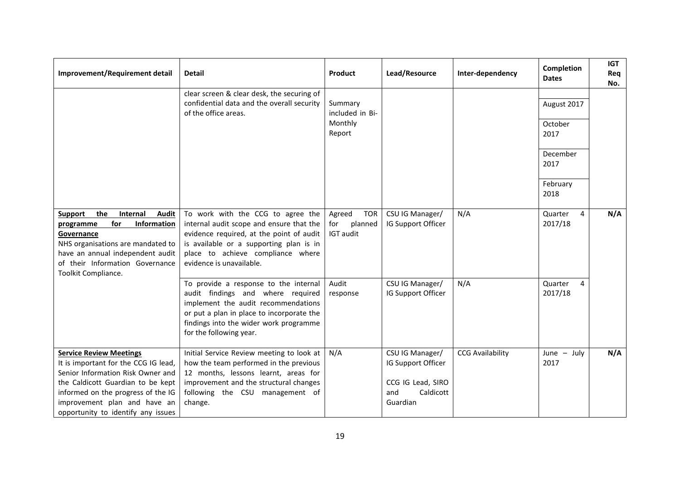| Improvement/Requirement detail                                                                                                                                                                                                                               | <b>Detail</b>                                                                                                                                                                                                                         | Product                                             | Lead/Resource                                                                              | Inter-dependency        | <b>Completion</b><br><b>Dates</b> | <b>IGT</b><br>Req<br>No. |
|--------------------------------------------------------------------------------------------------------------------------------------------------------------------------------------------------------------------------------------------------------------|---------------------------------------------------------------------------------------------------------------------------------------------------------------------------------------------------------------------------------------|-----------------------------------------------------|--------------------------------------------------------------------------------------------|-------------------------|-----------------------------------|--------------------------|
|                                                                                                                                                                                                                                                              | clear screen & clear desk, the securing of<br>confidential data and the overall security<br>of the office areas.                                                                                                                      | Summary<br>included in Bi-                          |                                                                                            |                         | August 2017                       |                          |
|                                                                                                                                                                                                                                                              |                                                                                                                                                                                                                                       | Monthly<br>Report                                   |                                                                                            |                         | October<br>2017                   |                          |
|                                                                                                                                                                                                                                                              |                                                                                                                                                                                                                                       |                                                     |                                                                                            |                         | December<br>2017                  |                          |
|                                                                                                                                                                                                                                                              |                                                                                                                                                                                                                                       |                                                     |                                                                                            |                         | February<br>2018                  |                          |
| the<br>Internal<br><b>Audit</b><br>Support<br>for<br>Information<br>programme<br>Governance<br>NHS organisations are mandated to<br>have an annual independent audit<br>of their Information Governance<br>Toolkit Compliance.                               | To work with the CCG to agree the<br>internal audit scope and ensure that the<br>evidence required, at the point of audit<br>is available or a supporting plan is in<br>place to achieve compliance where<br>evidence is unavailable. | <b>TOR</b><br>Agreed<br>planned<br>for<br>IGT audit | CSU IG Manager/<br>IG Support Officer                                                      | N/A                     | Quarter<br>4<br>2017/18           | N/A                      |
|                                                                                                                                                                                                                                                              | To provide a response to the internal<br>audit findings and where required<br>implement the audit recommendations<br>or put a plan in place to incorporate the<br>findings into the wider work programme<br>for the following year.   | Audit<br>response                                   | CSU IG Manager/<br>IG Support Officer                                                      | N/A                     | Quarter<br>4<br>2017/18           |                          |
| <b>Service Review Meetings</b><br>It is important for the CCG IG lead,<br>Senior Information Risk Owner and<br>the Caldicott Guardian to be kept<br>informed on the progress of the IG<br>improvement plan and have an<br>opportunity to identify any issues | Initial Service Review meeting to look at<br>how the team performed in the previous<br>12 months, lessons learnt, areas for<br>improvement and the structural changes<br>following the CSU management of<br>change.                   | N/A                                                 | CSU IG Manager/<br>IG Support Officer<br>CCG IG Lead, SIRO<br>Caldicott<br>and<br>Guardian | <b>CCG Availability</b> | June $-$ July<br>2017             | N/A                      |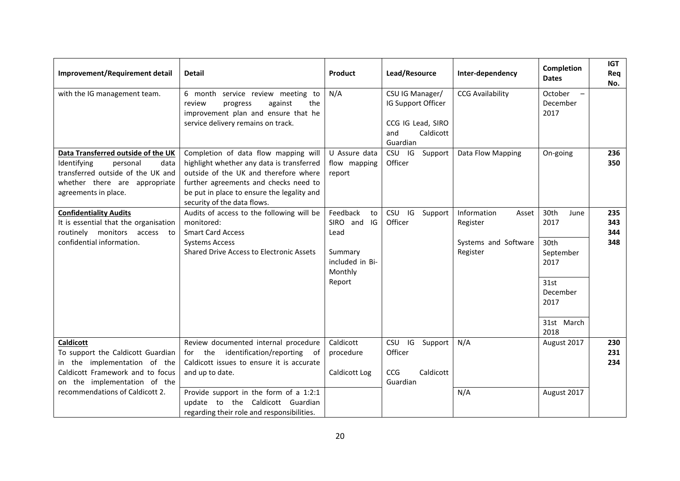| Improvement/Requirement detail                                                                                                                                                               | <b>Detail</b>                                                                                                                                                                                                                                                           | Product                                                                                     | Lead/Resource                                                                              | Inter-dependency                                                     | Completion<br><b>Dates</b>                                                                          | <b>IGT</b><br>Req<br>No. |
|----------------------------------------------------------------------------------------------------------------------------------------------------------------------------------------------|-------------------------------------------------------------------------------------------------------------------------------------------------------------------------------------------------------------------------------------------------------------------------|---------------------------------------------------------------------------------------------|--------------------------------------------------------------------------------------------|----------------------------------------------------------------------|-----------------------------------------------------------------------------------------------------|--------------------------|
| with the IG management team.                                                                                                                                                                 | 6 month service review meeting to<br>review<br>against<br>the<br>progress<br>improvement plan and ensure that he<br>service delivery remains on track.                                                                                                                  | N/A                                                                                         | CSU IG Manager/<br>IG Support Officer<br>CCG IG Lead, SIRO<br>Caldicott<br>and<br>Guardian | <b>CCG Availability</b>                                              | October<br>December<br>2017                                                                         |                          |
| Data Transferred outside of the UK<br>Identifying<br>personal<br>data<br>transferred outside of the UK and<br>whether there are appropriate<br>agreements in place.                          | Completion of data flow mapping will<br>highlight whether any data is transferred<br>outside of the UK and therefore where<br>further agreements and checks need to<br>be put in place to ensure the legality and<br>security of the data flows.                        | U Assure data<br>flow mapping<br>report                                                     | CSU IG<br>Support<br>Officer                                                               | Data Flow Mapping                                                    | On-going                                                                                            | 236<br>350               |
| <b>Confidentiality Audits</b><br>It is essential that the organisation<br>routinely monitors access<br>to<br>confidential information.                                                       | Audits of access to the following will be<br>monitored:<br><b>Smart Card Access</b><br><b>Systems Access</b><br><b>Shared Drive Access to Electronic Assets</b>                                                                                                         | Feedback<br>to<br>SIRO and<br>IG<br>Lead<br>Summary<br>included in Bi-<br>Monthly<br>Report | <b>CSU</b><br>IG<br>Support<br>Officer                                                     | Information<br>Asset<br>Register<br>Systems and Software<br>Register | 30th<br>June<br>2017<br>30th<br>September<br>2017<br>31st<br>December<br>2017<br>31st March<br>2018 | 235<br>343<br>344<br>348 |
| <b>Caldicott</b><br>To support the Caldicott Guardian<br>in the implementation of the<br>Caldicott Framework and to focus<br>on the implementation of the<br>recommendations of Caldicott 2. | Review documented internal procedure<br>for the identification/reporting of<br>Caldicott issues to ensure it is accurate<br>and up to date.<br>Provide support in the form of a 1:2:1<br>update to the Caldicott Guardian<br>regarding their role and responsibilities. | Caldicott<br>procedure<br>Caldicott Log                                                     | CSU IG<br>Support<br>Officer<br>Caldicott<br><b>CCG</b><br>Guardian                        | N/A<br>N/A                                                           | August 2017<br>August 2017                                                                          | 230<br>231<br>234        |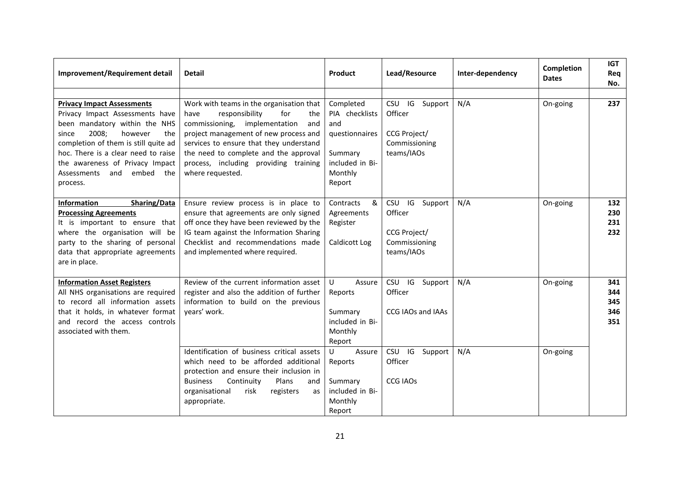| Improvement/Requirement detail                                                                                                                                                                                                                                                                          | <b>Detail</b>                                                                                                                                                                                                                                                                                                      | Product                                                                                                 | Lead/Resource                                                                         | Inter-dependency | <b>Completion</b><br><b>Dates</b> | <b>IGT</b><br>Req<br>No.        |
|---------------------------------------------------------------------------------------------------------------------------------------------------------------------------------------------------------------------------------------------------------------------------------------------------------|--------------------------------------------------------------------------------------------------------------------------------------------------------------------------------------------------------------------------------------------------------------------------------------------------------------------|---------------------------------------------------------------------------------------------------------|---------------------------------------------------------------------------------------|------------------|-----------------------------------|---------------------------------|
|                                                                                                                                                                                                                                                                                                         |                                                                                                                                                                                                                                                                                                                    |                                                                                                         |                                                                                       |                  |                                   |                                 |
| <b>Privacy Impact Assessments</b><br>Privacy Impact Assessments have<br>been mandatory within the NHS<br>2008;<br>however<br>since<br>the<br>completion of them is still quite ad<br>hoc. There is a clear need to raise<br>the awareness of Privacy Impact<br>Assessments and<br>embed the<br>process. | Work with teams in the organisation that<br>responsibility<br>for<br>have<br>the<br>commissioning, implementation<br>and<br>project management of new process and<br>services to ensure that they understand<br>the need to complete and the approval<br>process, including providing training<br>where requested. | Completed<br>PIA checklists<br>and<br>questionnaires<br>Summary<br>included in Bi-<br>Monthly<br>Report | IG<br><b>CSU</b><br>Support<br>Officer<br>CCG Project/<br>Commissioning<br>teams/IAOs | N/A              | On-going                          | 237                             |
| <b>Information</b><br>Sharing/Data<br><b>Processing Agreements</b><br>It is important to ensure that<br>where the organisation will be<br>party to the sharing of personal<br>data that appropriate agreements<br>are in place.                                                                         | Ensure review process is in place to<br>ensure that agreements are only signed<br>off once they have been reviewed by the<br>IG team against the Information Sharing<br>Checklist and recommendations made<br>and implemented where required.                                                                      | Contracts<br>&<br>Agreements<br>Register<br>Caldicott Log                                               | IG<br><b>CSU</b><br>Support<br>Officer<br>CCG Project/<br>Commissioning<br>teams/IAOs | N/A              | On-going                          | 132<br>230<br>231<br>232        |
| <b>Information Asset Registers</b><br>All NHS organisations are required<br>to record all information assets<br>that it holds, in whatever format<br>and record the access controls<br>associated with them.                                                                                            | Review of the current information asset<br>register and also the addition of further<br>information to build on the previous<br>years' work.                                                                                                                                                                       | U<br>Assure<br>Reports<br>Summary<br>included in Bi-<br>Monthly<br>Report                               | <b>CSU</b><br>IG<br>Support<br>Officer<br>CCG IAOs and IAAs                           | N/A              | On-going                          | 341<br>344<br>345<br>346<br>351 |
|                                                                                                                                                                                                                                                                                                         | Identification of business critical assets<br>which need to be afforded additional<br>protection and ensure their inclusion in<br><b>Business</b><br>Continuity<br>Plans<br>and<br>organisational<br>risk<br>registers<br>as<br>appropriate.                                                                       | $\cup$<br>Assure<br>Reports<br>Summary<br>included in Bi-<br>Monthly<br>Report                          | IG<br><b>CSU</b><br>Support<br>Officer<br><b>CCG IAOs</b>                             | N/A              | On-going                          |                                 |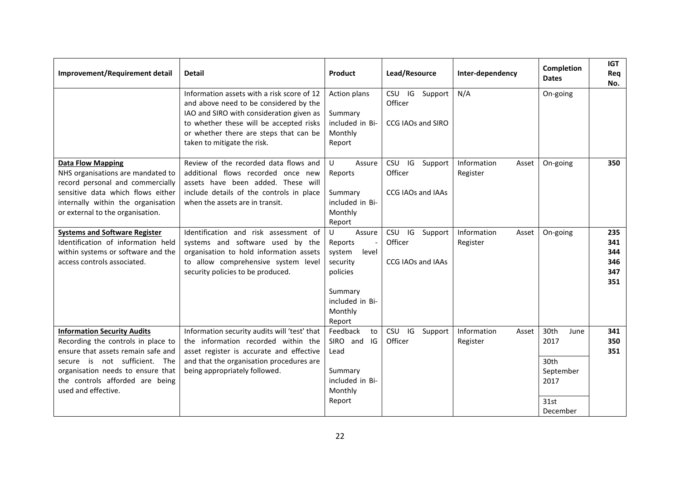| Improvement/Requirement detail                                                                                                                                                                                                                 | <b>Detail</b>                                                                                                                                                                                                                                        | Product                                                                                                              | Lead/Resource                                               | Inter-dependency                 | Completion<br><b>Dates</b>                                            | <b>IGT</b><br>Req<br>No.               |
|------------------------------------------------------------------------------------------------------------------------------------------------------------------------------------------------------------------------------------------------|------------------------------------------------------------------------------------------------------------------------------------------------------------------------------------------------------------------------------------------------------|----------------------------------------------------------------------------------------------------------------------|-------------------------------------------------------------|----------------------------------|-----------------------------------------------------------------------|----------------------------------------|
|                                                                                                                                                                                                                                                | Information assets with a risk score of 12<br>and above need to be considered by the<br>IAO and SIRO with consideration given as<br>to whether these will be accepted risks<br>or whether there are steps that can be<br>taken to mitigate the risk. | Action plans<br>Summary<br>included in Bi-<br>Monthly<br>Report                                                      | CSU IG Support<br>Officer<br>CCG IAOs and SIRO              | N/A                              | On-going                                                              |                                        |
| <b>Data Flow Mapping</b><br>NHS organisations are mandated to<br>record personal and commercially<br>sensitive data which flows either<br>internally within the organisation<br>or external to the organisation.                               | Review of the recorded data flows and<br>additional flows recorded once new<br>assets have been added. These will<br>include details of the controls in place<br>when the assets are in transit.                                                     | U<br>Assure<br>Reports<br>Summary<br>included in Bi-<br>Monthly<br>Report                                            | IG<br><b>CSU</b><br>Support<br>Officer<br>CCG IAOs and IAAs | Information<br>Asset<br>Register | On-going                                                              | 350                                    |
| <b>Systems and Software Register</b><br>Identification of information held<br>within systems or software and the<br>access controls associated.                                                                                                | Identification and risk assessment of<br>systems and software used by the<br>organisation to hold information assets<br>to allow comprehensive system level<br>security policies to be produced.                                                     | U<br>Assure<br>Reports<br>system<br>level<br>security<br>policies<br>Summary<br>included in Bi-<br>Monthly<br>Report | CSU IG<br>Support<br>Officer<br>CCG IAOs and IAAs           | Information<br>Asset<br>Register | On-going                                                              | 235<br>341<br>344<br>346<br>347<br>351 |
| <b>Information Security Audits</b><br>Recording the controls in place to<br>ensure that assets remain safe and<br>secure is not sufficient. The<br>organisation needs to ensure that<br>the controls afforded are being<br>used and effective. | Information security audits will 'test' that<br>the information recorded within the<br>asset register is accurate and effective<br>and that the organisation procedures are<br>being appropriately followed.                                         | Feedback<br>to<br>SIRO and<br>IG<br>Lead<br>Summary<br>included in Bi-<br>Monthly<br>Report                          | CSU IG<br>Support<br>Officer                                | Information<br>Asset<br>Register | 30th<br>June<br>2017<br>30th<br>September<br>2017<br>31st<br>December | 341<br>350<br>351                      |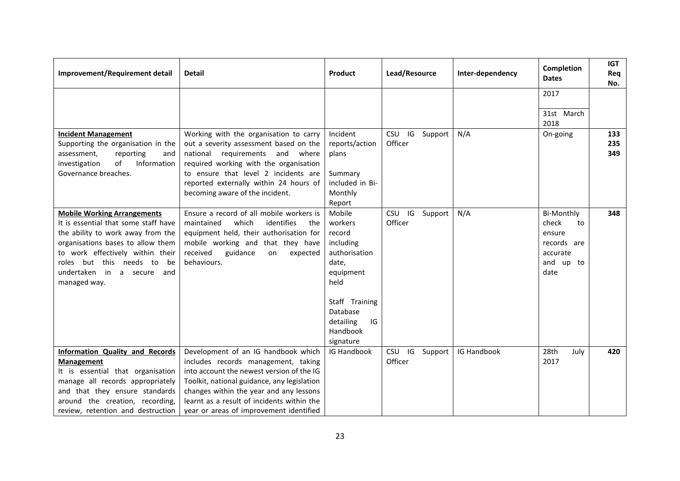| Improvement/Requirement detail                                                                                                                                                                                                                                          | <b>Detail</b>                                                                                                                                                                                                                                                                                              | Product                                                                                                                                                           | Lead/Resource                          | Inter-dependency | Completion<br><b>Dates</b>                                                                 | <b>IGT</b><br>Req<br>No. |
|-------------------------------------------------------------------------------------------------------------------------------------------------------------------------------------------------------------------------------------------------------------------------|------------------------------------------------------------------------------------------------------------------------------------------------------------------------------------------------------------------------------------------------------------------------------------------------------------|-------------------------------------------------------------------------------------------------------------------------------------------------------------------|----------------------------------------|------------------|--------------------------------------------------------------------------------------------|--------------------------|
|                                                                                                                                                                                                                                                                         |                                                                                                                                                                                                                                                                                                            |                                                                                                                                                                   |                                        |                  | 2017                                                                                       |                          |
|                                                                                                                                                                                                                                                                         |                                                                                                                                                                                                                                                                                                            |                                                                                                                                                                   |                                        |                  | 31st March<br>2018                                                                         |                          |
| <b>Incident Management</b><br>Supporting the organisation in the<br>assessment,<br>reporting<br>and<br>Information<br>of<br>investigation<br>Governance breaches.                                                                                                       | Working with the organisation to carry<br>out a severity assessment based on the<br>requirements<br>national<br>and<br>where<br>required working with the organisation<br>to ensure that level 2 incidents are<br>reported externally within 24 hours of<br>becoming aware of the incident.                | Incident<br>reports/action<br>plans<br>Summary<br>included in Bi-<br>Monthly<br>Report                                                                            | IG Support<br><b>CSU</b><br>Officer    | N/A              | On-going                                                                                   | 133<br>235<br>349        |
| <b>Mobile Working Arrangements</b><br>It is essential that some staff have<br>the ability to work away from the<br>organisations bases to allow them<br>to work effectively within their<br>roles but this needs to<br>be<br>undertaken in a secure and<br>managed way. | Ensure a record of all mobile workers is<br>maintained<br>which<br>identifies<br>the<br>equipment held, their authorisation for<br>mobile working and that they have<br>received<br>guidance<br>expected<br>on<br>behaviours.                                                                              | Mobile<br>workers<br>record<br>including<br>authorisation<br>date,<br>equipment<br>held<br>Staff Training<br>Database<br>IG<br>detailing<br>Handbook<br>signature | <b>CSU</b><br>IG<br>Support<br>Officer | N/A              | <b>Bi-Monthly</b><br>check<br>to<br>ensure<br>records are<br>accurate<br>and up to<br>date | 348                      |
| Information Quality and Records<br><b>Management</b><br>It is essential that organisation<br>manage all records appropriately<br>and that they ensure standards<br>around the creation, recording,<br>review, retention and destruction                                 | Development of an IG handbook which<br>includes records management, taking<br>into account the newest version of the IG<br>Toolkit, national guidance, any legislation<br>changes within the year and any lessons<br>learnt as a result of incidents within the<br>year or areas of improvement identified | IG Handbook                                                                                                                                                       | CSU IG Support<br>Officer              | IG Handbook      | 28th<br>July<br>2017                                                                       | 420                      |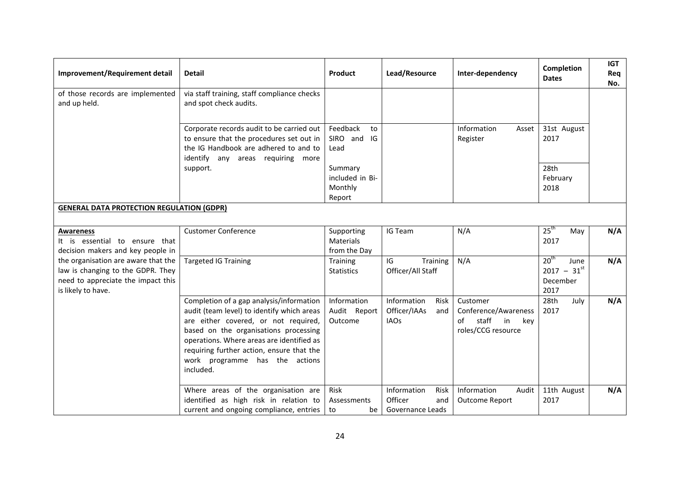| Improvement/Requirement detail                                                                                                       | <b>Detail</b>                                                                                                                                                                                                                                                                                                    | Product                                         | Lead/Resource                                                    | Inter-dependency                                                                              | <b>Completion</b><br><b>Dates</b>                                | <b>IGT</b><br>Req<br>No. |
|--------------------------------------------------------------------------------------------------------------------------------------|------------------------------------------------------------------------------------------------------------------------------------------------------------------------------------------------------------------------------------------------------------------------------------------------------------------|-------------------------------------------------|------------------------------------------------------------------|-----------------------------------------------------------------------------------------------|------------------------------------------------------------------|--------------------------|
| of those records are implemented<br>and up held.                                                                                     | via staff training, staff compliance checks<br>and spot check audits.                                                                                                                                                                                                                                            |                                                 |                                                                  |                                                                                               |                                                                  |                          |
|                                                                                                                                      | Corporate records audit to be carried out<br>to ensure that the procedures set out in<br>the IG Handbook are adhered to and to<br>identify any areas requiring more                                                                                                                                              | Feedback<br>to<br>SIRO and IG<br>Lead           |                                                                  | Information<br>Asset<br>Register                                                              | 31st August<br>2017                                              |                          |
|                                                                                                                                      | support.                                                                                                                                                                                                                                                                                                         | Summary<br>included in Bi-<br>Monthly<br>Report |                                                                  |                                                                                               | 28th<br>February<br>2018                                         |                          |
| <b>GENERAL DATA PROTECTION REGULATION (GDPR)</b>                                                                                     |                                                                                                                                                                                                                                                                                                                  |                                                 |                                                                  |                                                                                               |                                                                  |                          |
| <b>Awareness</b><br>It is essential to ensure that<br>decision makers and key people in                                              | <b>Customer Conference</b>                                                                                                                                                                                                                                                                                       | Supporting<br>Materials<br>from the Day         | IG Team                                                          | N/A                                                                                           | 25 <sup>th</sup><br>May<br>2017                                  | N/A                      |
| the organisation are aware that the<br>law is changing to the GDPR. They<br>need to appreciate the impact this<br>is likely to have. | <b>Targeted IG Training</b>                                                                                                                                                                                                                                                                                      | Training<br><b>Statistics</b>                   | IG<br>Training<br>Officer/All Staff                              | N/A                                                                                           | 20 <sup>th</sup><br>June<br>$2017 - 31^{st}$<br>December<br>2017 | N/A                      |
|                                                                                                                                      | Completion of a gap analysis/information<br>audit (team level) to identify which areas<br>are either covered, or not required,<br>based on the organisations processing<br>operations. Where areas are identified as<br>requiring further action, ensure that the<br>work programme has the actions<br>included. | Information<br>Audit Report<br>Outcome          | Information<br>Risk<br>Officer/IAAs<br>and<br><b>IAOs</b>        | Customer<br>Conference/Awareness<br>staff<br>of<br>$\mathsf{in}$<br>key<br>roles/CCG resource | 28th<br>July<br>2017                                             | N/A                      |
|                                                                                                                                      | Where areas of the organisation are<br>identified as high risk in relation to<br>current and ongoing compliance, entries                                                                                                                                                                                         | Risk<br>Assessments<br>to<br>be                 | Information<br><b>Risk</b><br>Officer<br>and<br>Governance Leads | Audit<br>Information<br><b>Outcome Report</b>                                                 | 11th August<br>2017                                              | N/A                      |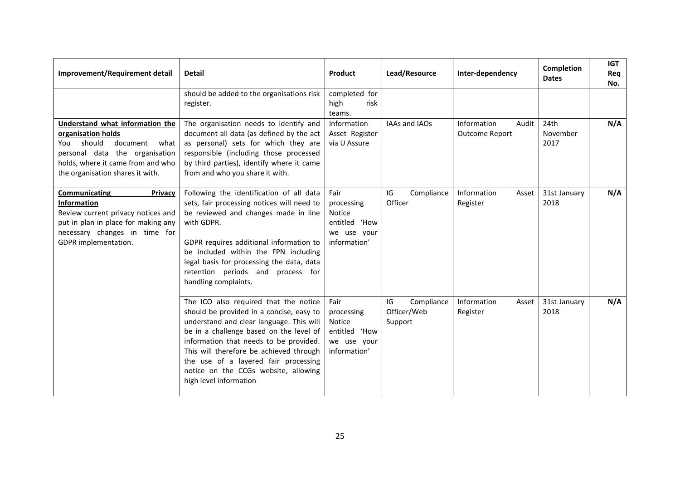| Improvement/Requirement detail                                                                                                                                                                     | <b>Detail</b>                                                                                                                                                                                                                                                                                                                                                           | Product                                                                      | Lead/Resource                              | Inter-dependency                       | Completion<br><b>Dates</b> | <b>IGT</b><br>Req<br>No. |
|----------------------------------------------------------------------------------------------------------------------------------------------------------------------------------------------------|-------------------------------------------------------------------------------------------------------------------------------------------------------------------------------------------------------------------------------------------------------------------------------------------------------------------------------------------------------------------------|------------------------------------------------------------------------------|--------------------------------------------|----------------------------------------|----------------------------|--------------------------|
|                                                                                                                                                                                                    | should be added to the organisations risk<br>register.                                                                                                                                                                                                                                                                                                                  | completed for<br>high<br>risk<br>teams.                                      |                                            |                                        |                            |                          |
| Understand what information the<br>organisation holds<br>should<br>document what<br>You<br>personal data the organisation<br>holds, where it came from and who<br>the organisation shares it with. | The organisation needs to identify and<br>document all data (as defined by the act<br>as personal) sets for which they are<br>responsible (including those processed<br>by third parties), identify where it came<br>from and who you share it with.                                                                                                                    | Information<br>Asset Register<br>via U Assure                                | IAAs and IAOs                              | Information<br>Audit<br>Outcome Report | 24th<br>November<br>2017   | N/A                      |
| Communicating<br>Privacy<br><b>Information</b><br>Review current privacy notices and<br>put in plan in place for making any<br>necessary changes in time for<br>GDPR implementation.               | Following the identification of all data<br>sets, fair processing notices will need to<br>be reviewed and changes made in line<br>with GDPR.<br>GDPR requires additional information to<br>be included within the FPN including<br>legal basis for processing the data, data<br>retention periods and process for<br>handling complaints.                               | Fair<br>processing<br>Notice<br>entitled 'How<br>we use your<br>information' | IG<br>Compliance<br>Officer                | Information<br>Asset<br>Register       | 31st January<br>2018       | N/A                      |
|                                                                                                                                                                                                    | The ICO also required that the notice<br>should be provided in a concise, easy to<br>understand and clear language. This will<br>be in a challenge based on the level of<br>information that needs to be provided.<br>This will therefore be achieved through<br>the use of a layered fair processing<br>notice on the CCGs website, allowing<br>high level information | Fair<br>processing<br>Notice<br>entitled 'How<br>we use your<br>information' | IG<br>Compliance<br>Officer/Web<br>Support | Information<br>Asset<br>Register       | 31st January<br>2018       | N/A                      |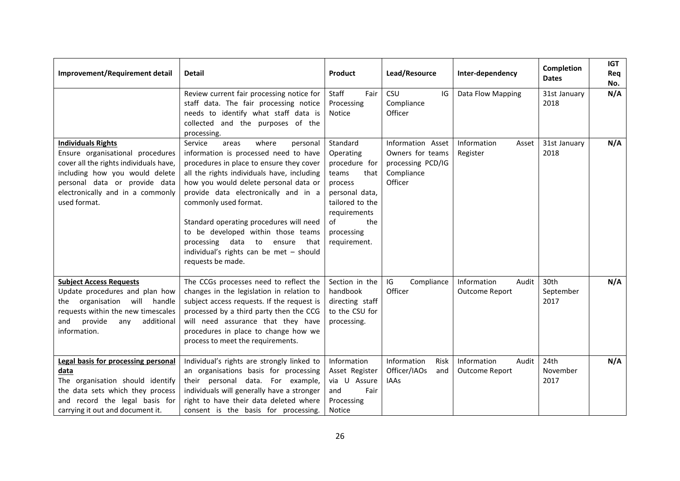| Improvement/Requirement detail                                                                                                                                                                                                 | <b>Detail</b>                                                                                                                                                                                                                                                                                                                                                                                                                                                                     | Product                                                                                                                                                            | Lead/Resource                                                                       | Inter-dependency                              | Completion<br><b>Dates</b> | <b>IGT</b><br>Req<br>No. |
|--------------------------------------------------------------------------------------------------------------------------------------------------------------------------------------------------------------------------------|-----------------------------------------------------------------------------------------------------------------------------------------------------------------------------------------------------------------------------------------------------------------------------------------------------------------------------------------------------------------------------------------------------------------------------------------------------------------------------------|--------------------------------------------------------------------------------------------------------------------------------------------------------------------|-------------------------------------------------------------------------------------|-----------------------------------------------|----------------------------|--------------------------|
|                                                                                                                                                                                                                                | Review current fair processing notice for<br>staff data. The fair processing notice<br>needs to identify what staff data is<br>collected and the purposes of the<br>processing.                                                                                                                                                                                                                                                                                                   | Staff<br>Fair<br>Processing<br>Notice                                                                                                                              | CSU<br>IG<br>Compliance<br>Officer                                                  | Data Flow Mapping                             | 31st January<br>2018       | N/A                      |
| <b>Individuals Rights</b><br>Ensure organisational procedures<br>cover all the rights individuals have,<br>including how you would delete<br>personal data or provide data<br>electronically and in a commonly<br>used format. | Service<br>where<br>areas<br>personal<br>information is processed need to have<br>procedures in place to ensure they cover<br>all the rights individuals have, including<br>how you would delete personal data or<br>provide data electronically and in a<br>commonly used format.<br>Standard operating procedures will need<br>to be developed within those teams<br>data<br>processing<br>to<br>ensure<br>that<br>individual's rights can be met - should<br>requests be made. | Standard<br>Operating<br>procedure for<br>teams<br>that<br>process<br>personal data,<br>tailored to the<br>requirements<br>of<br>the<br>processing<br>requirement. | Information Asset<br>Owners for teams<br>processing PCD/IG<br>Compliance<br>Officer | Information<br>Asset<br>Register              | 31st January<br>2018       | N/A                      |
| <b>Subject Access Requests</b><br>Update procedures and plan how<br>organisation will handle<br>the<br>requests within the new timescales<br>provide<br>additional<br>and<br>any<br>information.                               | The CCGs processes need to reflect the<br>changes in the legislation in relation to<br>subject access requests. If the request is<br>processed by a third party then the CCG<br>will need assurance that they have<br>procedures in place to change how we<br>process to meet the requirements.                                                                                                                                                                                   | Section in the<br>handbook<br>directing staff<br>to the CSU for<br>processing.                                                                                     | IG<br>Compliance<br>Officer                                                         | Information<br>Audit<br><b>Outcome Report</b> | 30th<br>September<br>2017  | N/A                      |
| Legal basis for processing personal<br>data<br>The organisation should identify<br>the data sets which they process<br>and record the legal basis for<br>carrying it out and document it.                                      | Individual's rights are strongly linked to<br>an organisations basis for processing<br>their personal data. For example,<br>individuals will generally have a stronger<br>right to have their data deleted where<br>consent is the basis for processing.                                                                                                                                                                                                                          | Information<br>Asset Register<br>via U Assure<br>and<br>Fair<br>Processing<br>Notice                                                                               | Information<br>Risk<br>Officer/IAOs<br>and<br><b>IAAs</b>                           | Information<br>Audit<br><b>Outcome Report</b> | 24th<br>November<br>2017   | N/A                      |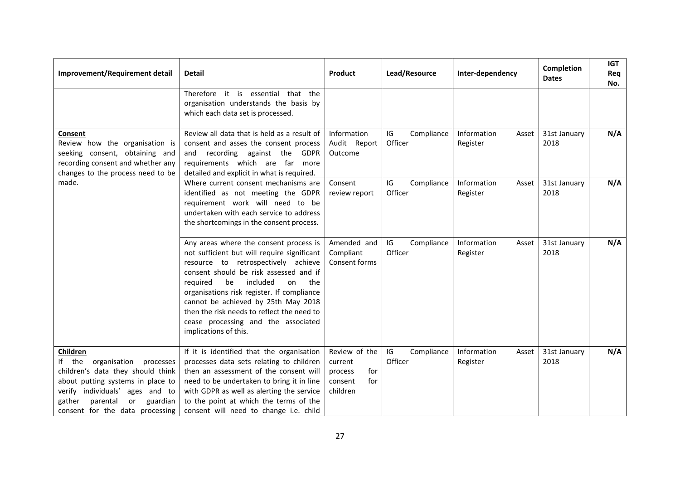| Improvement/Requirement detail                                                                                                                                                                                                       | <b>Detail</b>                                                                                                                                                                                                                                                                                                                                                                                                        | Product                                                                  | Lead/Resource               | Inter-dependency                 | <b>Completion</b><br><b>Dates</b> | <b>IGT</b><br>Req<br>No. |
|--------------------------------------------------------------------------------------------------------------------------------------------------------------------------------------------------------------------------------------|----------------------------------------------------------------------------------------------------------------------------------------------------------------------------------------------------------------------------------------------------------------------------------------------------------------------------------------------------------------------------------------------------------------------|--------------------------------------------------------------------------|-----------------------------|----------------------------------|-----------------------------------|--------------------------|
|                                                                                                                                                                                                                                      | Therefore it is essential<br>that the<br>organisation understands the basis by<br>which each data set is processed.                                                                                                                                                                                                                                                                                                  |                                                                          |                             |                                  |                                   |                          |
| Consent<br>Review how the organisation is<br>seeking consent, obtaining and<br>recording consent and whether any<br>changes to the process need to be                                                                                | Review all data that is held as a result of<br>consent and asses the consent process<br>recording against the GDPR<br>and<br>requirements which are far more<br>detailed and explicit in what is required.                                                                                                                                                                                                           | Information<br>Audit Report<br>Outcome                                   | IG<br>Compliance<br>Officer | Information<br>Asset<br>Register | 31st January<br>2018              | N/A                      |
| made.                                                                                                                                                                                                                                | Where current consent mechanisms are<br>identified as not meeting the GDPR<br>requirement work will need to be<br>undertaken with each service to address<br>the shortcomings in the consent process.                                                                                                                                                                                                                | Consent<br>review report                                                 | IG<br>Compliance<br>Officer | Information<br>Asset<br>Register | 31st January<br>2018              | N/A                      |
|                                                                                                                                                                                                                                      | Any areas where the consent process is<br>not sufficient but will require significant<br>resource to retrospectively achieve<br>consent should be risk assessed and if<br>included<br>required<br>be<br>on<br>the<br>organisations risk register. If compliance<br>cannot be achieved by 25th May 2018<br>then the risk needs to reflect the need to<br>cease processing and the associated<br>implications of this. | Amended and<br>Compliant<br>Consent forms                                | IG<br>Compliance<br>Officer | Information<br>Asset<br>Register | 31st January<br>2018              | N/A                      |
| Children<br>If the organisation<br>processes<br>children's data they should think<br>about putting systems in place to<br>verify individuals' ages and to<br>gather<br>parental<br>or<br>guardian<br>consent for the data processing | If it is identified that the organisation<br>processes data sets relating to children<br>then an assessment of the consent will<br>need to be undertaken to bring it in line<br>with GDPR as well as alerting the service<br>to the point at which the terms of the<br>consent will need to change i.e. child                                                                                                        | Review of the<br>current<br>process<br>for<br>consent<br>for<br>children | IG<br>Compliance<br>Officer | Information<br>Asset<br>Register | 31st January<br>2018              | N/A                      |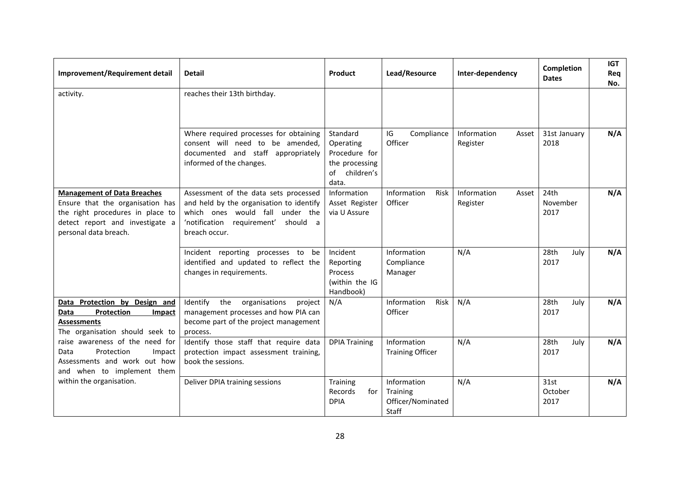| Improvement/Requirement detail                                                                                                                                         | <b>Detail</b>                                                                                                                                                                      | Product                                                                               | Lead/Resource                                         | Inter-dependency                 | Completion<br><b>Dates</b>           | <b>IGT</b><br>Req<br>No. |
|------------------------------------------------------------------------------------------------------------------------------------------------------------------------|------------------------------------------------------------------------------------------------------------------------------------------------------------------------------------|---------------------------------------------------------------------------------------|-------------------------------------------------------|----------------------------------|--------------------------------------|--------------------------|
| activity.                                                                                                                                                              | reaches their 13th birthday.                                                                                                                                                       |                                                                                       |                                                       |                                  |                                      |                          |
|                                                                                                                                                                        | Where required processes for obtaining<br>consent will need to be amended,<br>documented and staff appropriately<br>informed of the changes.                                       | Standard<br>Operating<br>Procedure for<br>the processing<br>children's<br>of<br>data. | IG<br>Compliance<br>Officer                           | Information<br>Asset<br>Register | 31st January<br>2018                 | N/A                      |
| <b>Management of Data Breaches</b><br>Ensure that the organisation has<br>the right procedures in place to<br>detect report and investigate a<br>personal data breach. | Assessment of the data sets processed<br>and held by the organisation to identify<br>which ones would fall<br>under the<br>'notification requirement'<br>should a<br>breach occur. | Information<br>Asset Register<br>via U Assure                                         | Information<br>Risk<br>Officer                        | Information<br>Asset<br>Register | 24 <sub>th</sub><br>November<br>2017 | N/A                      |
|                                                                                                                                                                        | Incident reporting processes to<br>be<br>identified and updated to reflect the<br>changes in requirements.                                                                         | Incident<br>Reporting<br>Process<br>(within the IG<br>Handbook)                       | Information<br>Compliance<br>Manager                  | N/A                              | 28th<br>July<br>2017                 | N/A                      |
| Data Protection by Design and<br>Protection<br>Data<br>Impact<br><b>Assessments</b><br>The organisation should seek to                                                 | Identify<br>the<br>organisations<br>project<br>management processes and how PIA can<br>become part of the project management<br>process.                                           | N/A                                                                                   | Information<br>Risk<br>Officer                        | N/A                              | 28th<br>July<br>2017                 | N/A                      |
| raise awareness of the need for<br>Protection<br>Data<br>Impact<br>Assessments and work out how<br>and when to implement them                                          | Identify those staff that require data<br>protection impact assessment training,<br>book the sessions.                                                                             | <b>DPIA Training</b>                                                                  | Information<br><b>Training Officer</b>                | N/A                              | 28th<br>July<br>2017                 | N/A                      |
| within the organisation.                                                                                                                                               | Deliver DPIA training sessions                                                                                                                                                     | Training<br>Records<br>for I<br><b>DPIA</b>                                           | Information<br>Training<br>Officer/Nominated<br>Staff | N/A                              | 31st<br>October<br>2017              | N/A                      |